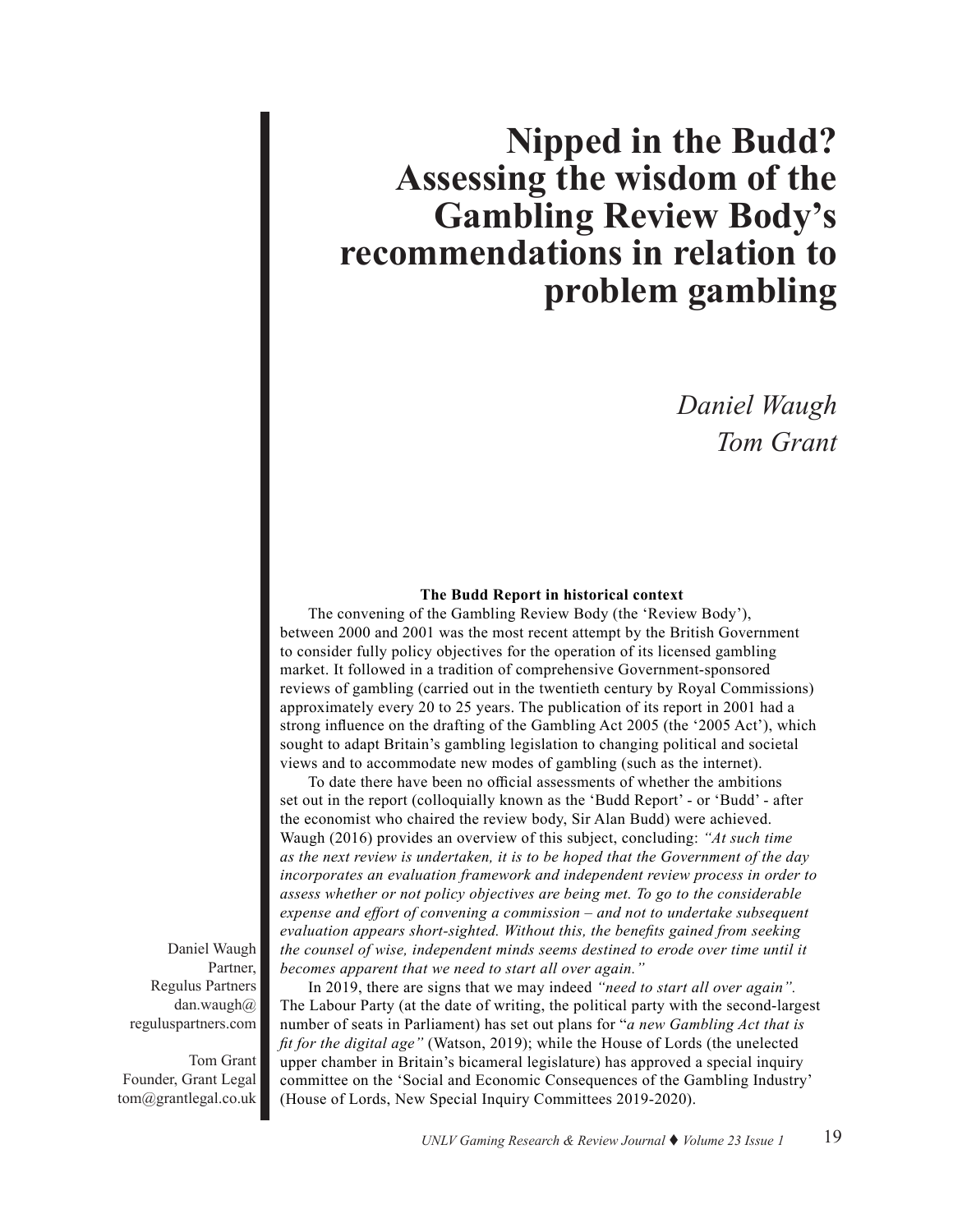# **Nipped in the Budd? Assessing the wisdom of the Gambling Review Body's recommendations in relation to problem gambling**

## *Daniel Waugh Tom Grant*

#### **The Budd Report in historical context**

The convening of the Gambling Review Body (the 'Review Body'), between 2000 and 2001 was the most recent attempt by the British Government to consider fully policy objectives for the operation of its licensed gambling market. It followed in a tradition of comprehensive Government-sponsored reviews of gambling (carried out in the twentieth century by Royal Commissions) approximately every 20 to 25 years. The publication of its report in 2001 had a strong influence on the drafting of the Gambling Act 2005 (the '2005 Act'), which sought to adapt Britain's gambling legislation to changing political and societal views and to accommodate new modes of gambling (such as the internet).

To date there have been no official assessments of whether the ambitions set out in the report (colloquially known as the 'Budd Report' - or 'Budd' - after the economist who chaired the review body, Sir Alan Budd) were achieved. Waugh (2016) provides an overview of this subject, concluding: *"At such time as the next review is undertaken, it is to be hoped that the Government of the day incorporates an evaluation framework and independent review process in order to assess whether or not policy objectives are being met. To go to the considerable expense and effort of convening a commission – and not to undertake subsequent evaluation appears short-sighted. Without this, the benefits gained from seeking the counsel of wise, independent minds seems destined to erode over time until it becomes apparent that we need to start all over again."*

In 2019, there are signs that we may indeed *"need to start all over again".*  The Labour Party (at the date of writing, the political party with the second-largest number of seats in Parliament) has set out plans for "*a new Gambling Act that is fit for the digital age"* (Watson, 2019); while the House of Lords (the unelected upper chamber in Britain's bicameral legislature) has approved a special inquiry committee on the 'Social and Economic Consequences of the Gambling Industry' (House of Lords, New Special Inquiry Committees 2019-2020).

Daniel Waugh Partner, Regulus Partners dan.waugh $\omega$ reguluspartners.com

Tom Grant Founder, Grant Legal tom@grantlegal.co.uk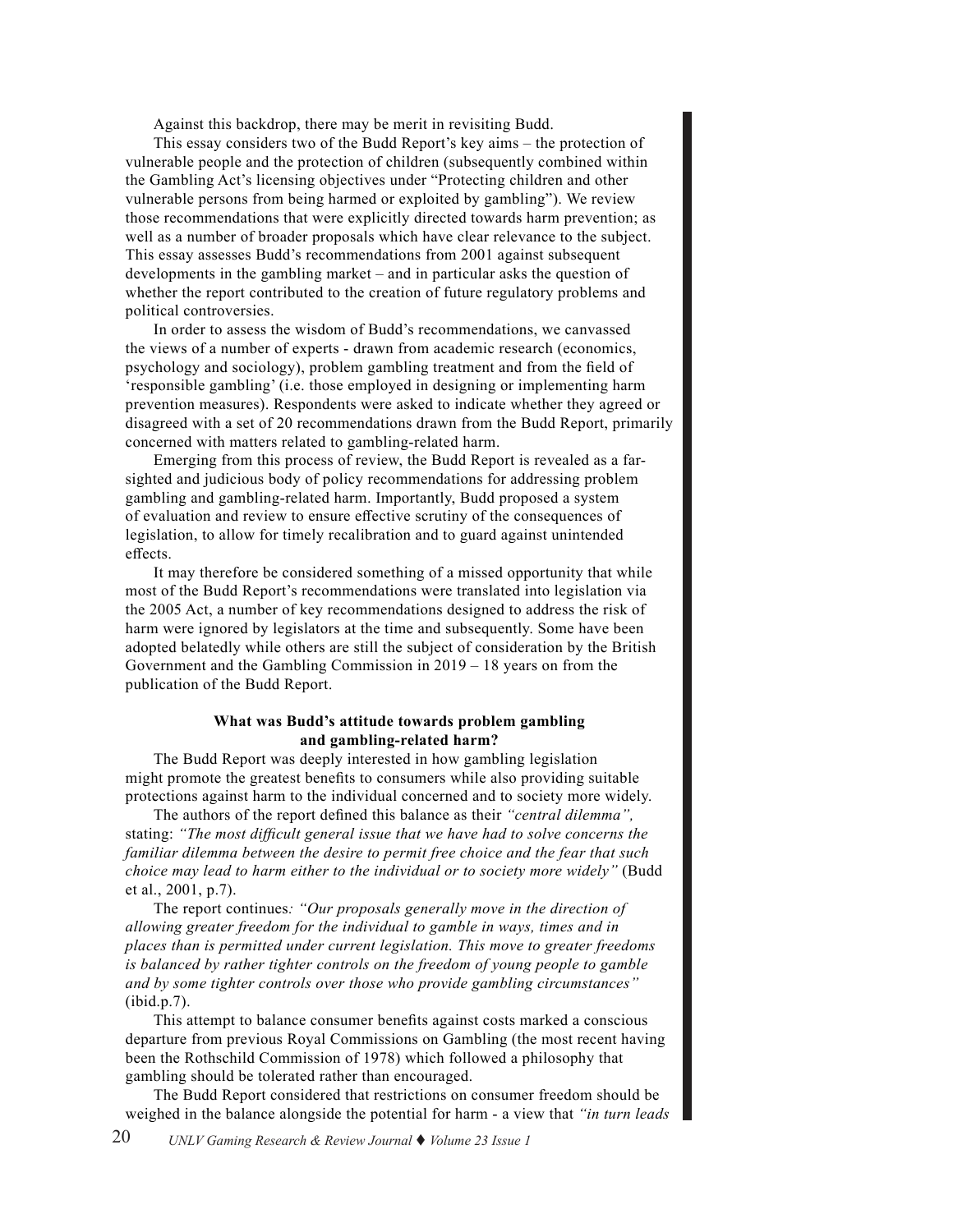Against this backdrop, there may be merit in revisiting Budd.

This essay considers two of the Budd Report's key aims – the protection of vulnerable people and the protection of children (subsequently combined within the Gambling Act's licensing objectives under "Protecting children and other vulnerable persons from being harmed or exploited by gambling"). We review those recommendations that were explicitly directed towards harm prevention; as well as a number of broader proposals which have clear relevance to the subject. This essay assesses Budd's recommendations from 2001 against subsequent developments in the gambling market – and in particular asks the question of whether the report contributed to the creation of future regulatory problems and political controversies.

In order to assess the wisdom of Budd's recommendations, we canvassed the views of a number of experts - drawn from academic research (economics, psychology and sociology), problem gambling treatment and from the field of 'responsible gambling' (i.e. those employed in designing or implementing harm prevention measures). Respondents were asked to indicate whether they agreed or disagreed with a set of 20 recommendations drawn from the Budd Report, primarily concerned with matters related to gambling-related harm.

Emerging from this process of review, the Budd Report is revealed as a farsighted and judicious body of policy recommendations for addressing problem gambling and gambling-related harm. Importantly, Budd proposed a system of evaluation and review to ensure effective scrutiny of the consequences of legislation, to allow for timely recalibration and to guard against unintended effects.

It may therefore be considered something of a missed opportunity that while most of the Budd Report's recommendations were translated into legislation via the 2005 Act, a number of key recommendations designed to address the risk of harm were ignored by legislators at the time and subsequently. Some have been adopted belatedly while others are still the subject of consideration by the British Government and the Gambling Commission in 2019 – 18 years on from the publication of the Budd Report.

#### **What was Budd's attitude towards problem gambling and gambling-related harm?**

The Budd Report was deeply interested in how gambling legislation might promote the greatest benefits to consumers while also providing suitable protections against harm to the individual concerned and to society more widely.

The authors of the report defined this balance as their *"central dilemma",* stating: *"The most difficult general issue that we have had to solve concerns the familiar dilemma between the desire to permit free choice and the fear that such choice may lead to harm either to the individual or to society more widely"* (Budd et al., 2001, p.7).

The report continues*: "Our proposals generally move in the direction of allowing greater freedom for the individual to gamble in ways, times and in places than is permitted under current legislation. This move to greater freedoms is balanced by rather tighter controls on the freedom of young people to gamble and by some tighter controls over those who provide gambling circumstances"*  (ibid.p.7).

This attempt to balance consumer benefits against costs marked a conscious departure from previous Royal Commissions on Gambling (the most recent having been the Rothschild Commission of 1978) which followed a philosophy that gambling should be tolerated rather than encouraged.

The Budd Report considered that restrictions on consumer freedom should be weighed in the balance alongside the potential for harm - a view that *"in turn leads*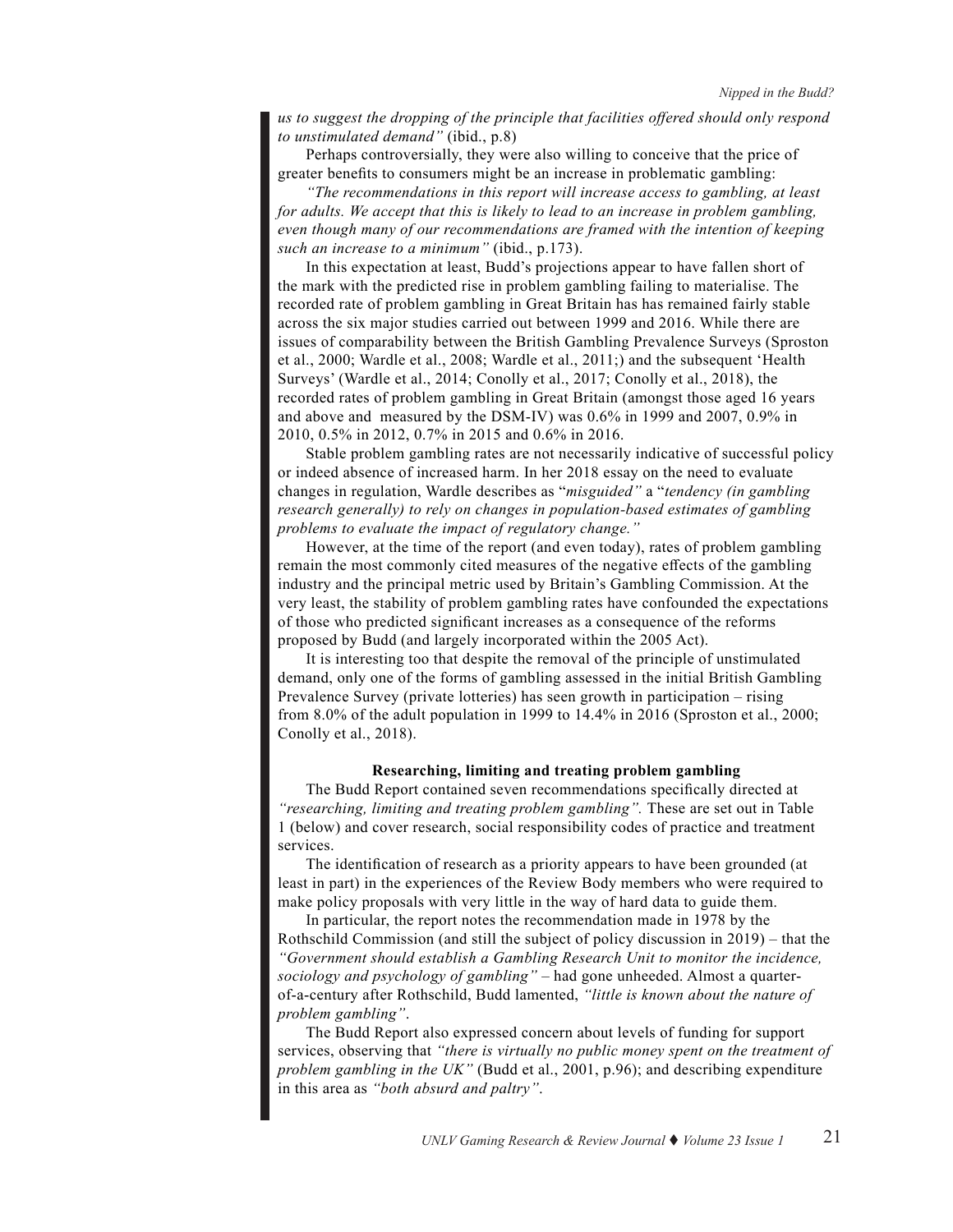*us to suggest the dropping of the principle that facilities offered should only respond to unstimulated demand"* (ibid., p.8)

Perhaps controversially, they were also willing to conceive that the price of greater benefits to consumers might be an increase in problematic gambling:

*"The recommendations in this report will increase access to gambling, at least for adults. We accept that this is likely to lead to an increase in problem gambling, even though many of our recommendations are framed with the intention of keeping such an increase to a minimum"* (ibid., p.173).

In this expectation at least, Budd's projections appear to have fallen short of the mark with the predicted rise in problem gambling failing to materialise. The recorded rate of problem gambling in Great Britain has has remained fairly stable across the six major studies carried out between 1999 and 2016. While there are issues of comparability between the British Gambling Prevalence Surveys (Sproston et al., 2000; Wardle et al., 2008; Wardle et al., 2011;) and the subsequent 'Health Surveys' (Wardle et al., 2014; Conolly et al., 2017; Conolly et al., 2018), the recorded rates of problem gambling in Great Britain (amongst those aged 16 years and above and measured by the DSM-IV) was 0.6% in 1999 and 2007, 0.9% in 2010, 0.5% in 2012, 0.7% in 2015 and 0.6% in 2016.

Stable problem gambling rates are not necessarily indicative of successful policy or indeed absence of increased harm. In her 2018 essay on the need to evaluate changes in regulation, Wardle describes as "*misguided"* a "*tendency (in gambling research generally) to rely on changes in population-based estimates of gambling problems to evaluate the impact of regulatory change."*

However, at the time of the report (and even today), rates of problem gambling remain the most commonly cited measures of the negative effects of the gambling industry and the principal metric used by Britain's Gambling Commission. At the very least, the stability of problem gambling rates have confounded the expectations of those who predicted significant increases as a consequence of the reforms proposed by Budd (and largely incorporated within the 2005 Act).

It is interesting too that despite the removal of the principle of unstimulated demand, only one of the forms of gambling assessed in the initial British Gambling Prevalence Survey (private lotteries) has seen growth in participation – rising from 8.0% of the adult population in 1999 to 14.4% in 2016 (Sproston et al., 2000; Conolly et al., 2018).

#### **Researching, limiting and treating problem gambling**

The Budd Report contained seven recommendations specifically directed at *"researching, limiting and treating problem gambling".* These are set out in Table 1 (below) and cover research, social responsibility codes of practice and treatment services.

The identification of research as a priority appears to have been grounded (at least in part) in the experiences of the Review Body members who were required to make policy proposals with very little in the way of hard data to guide them.

In particular, the report notes the recommendation made in 1978 by the Rothschild Commission (and still the subject of policy discussion in 2019) – that the *"Government should establish a Gambling Research Unit to monitor the incidence, sociology and psychology of gambling"* – had gone unheeded. Almost a quarterof-a-century after Rothschild, Budd lamented, *"little is known about the nature of problem gambling"*.

The Budd Report also expressed concern about levels of funding for support services, observing that *"there is virtually no public money spent on the treatment of problem gambling in the UK"* (Budd et al., 2001, p.96); and describing expenditure in this area as *"both absurd and paltry"*.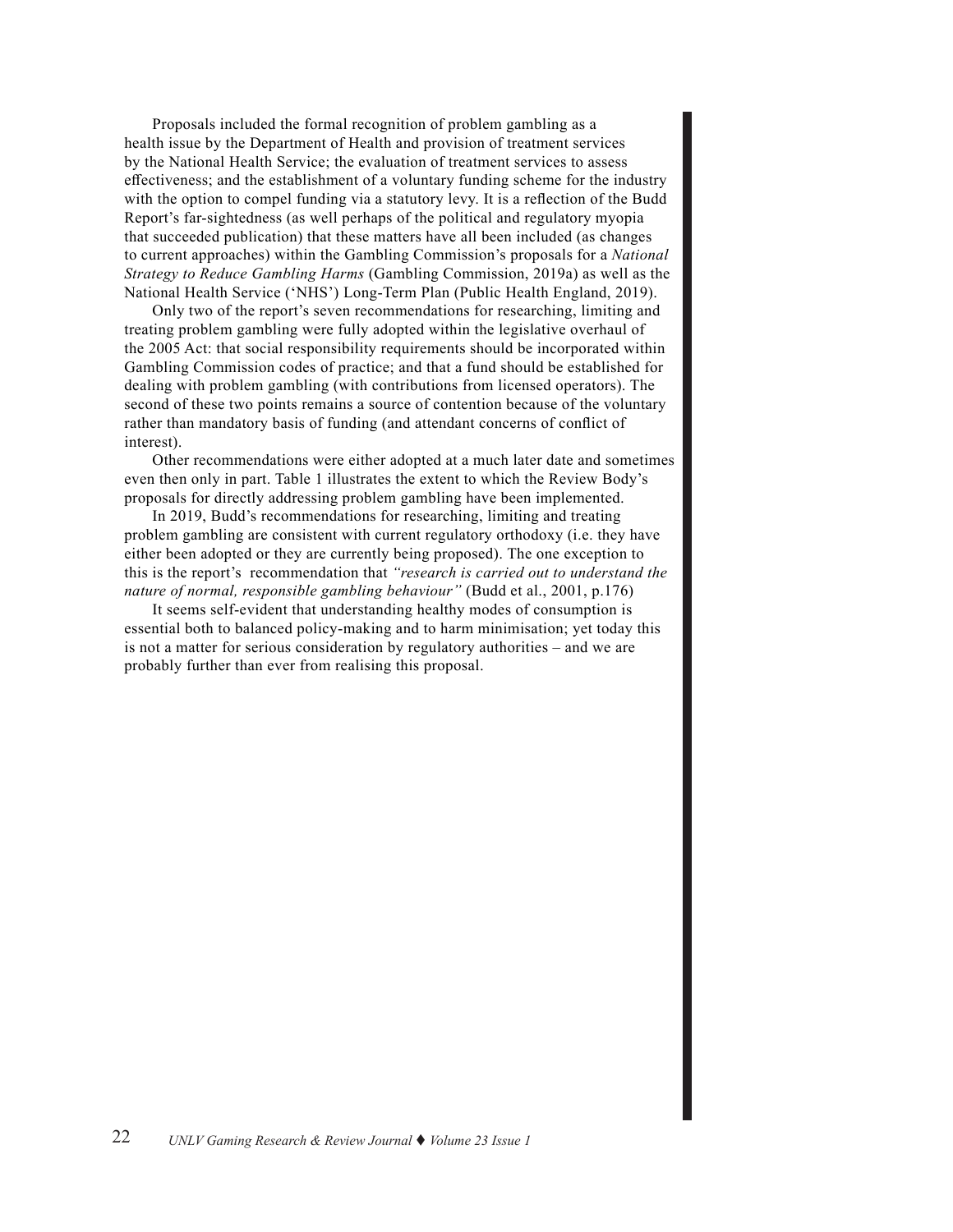Proposals included the formal recognition of problem gambling as a health issue by the Department of Health and provision of treatment services by the National Health Service; the evaluation of treatment services to assess effectiveness; and the establishment of a voluntary funding scheme for the industry with the option to compel funding via a statutory levy. It is a reflection of the Budd Report's far-sightedness (as well perhaps of the political and regulatory myopia that succeeded publication) that these matters have all been included (as changes to current approaches) within the Gambling Commission's proposals for a *National Strategy to Reduce Gambling Harms* (Gambling Commission, 2019a) as well as the National Health Service ('NHS') Long-Term Plan (Public Health England, 2019).

Only two of the report's seven recommendations for researching, limiting and treating problem gambling were fully adopted within the legislative overhaul of the 2005 Act: that social responsibility requirements should be incorporated within Gambling Commission codes of practice; and that a fund should be established for dealing with problem gambling (with contributions from licensed operators). The second of these two points remains a source of contention because of the voluntary rather than mandatory basis of funding (and attendant concerns of conflict of interest).

Other recommendations were either adopted at a much later date and sometimes even then only in part. Table 1 illustrates the extent to which the Review Body's proposals for directly addressing problem gambling have been implemented.

In 2019, Budd's recommendations for researching, limiting and treating problem gambling are consistent with current regulatory orthodoxy (i.e. they have either been adopted or they are currently being proposed). The one exception to this is the report's recommendation that *"research is carried out to understand the nature of normal, responsible gambling behaviour"* (Budd et al., 2001, p.176)

It seems self-evident that understanding healthy modes of consumption is essential both to balanced policy-making and to harm minimisation; yet today this is not a matter for serious consideration by regulatory authorities – and we are probably further than ever from realising this proposal.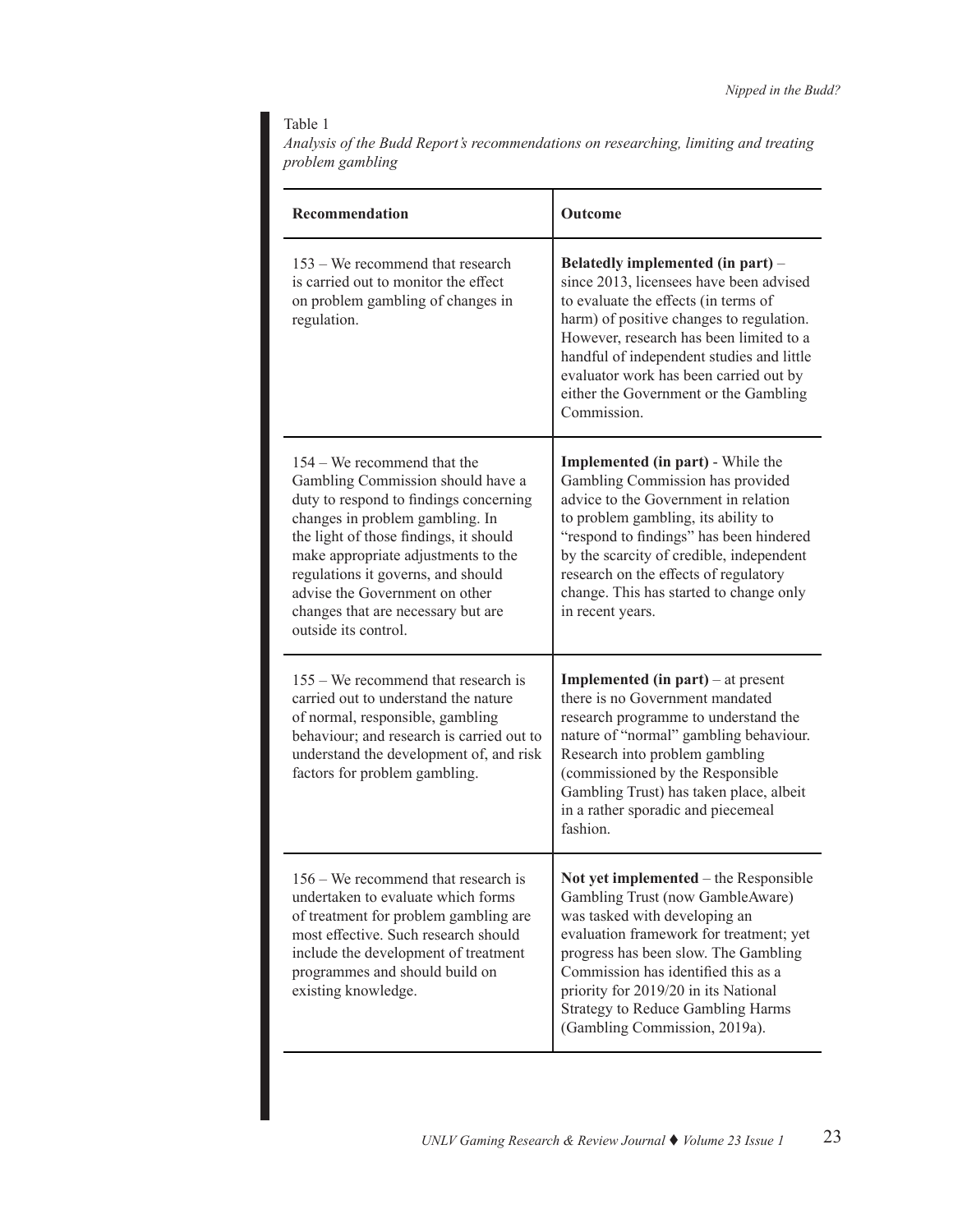### Table 1

*Analysis of the Budd Report's recommendations on researching, limiting and treating problem gambling*

| Recommendation                                                                                                                                                                                                                                                                                                                                                       | Outcome                                                                                                                                                                                                                                                                                                                                                    |  |  |
|----------------------------------------------------------------------------------------------------------------------------------------------------------------------------------------------------------------------------------------------------------------------------------------------------------------------------------------------------------------------|------------------------------------------------------------------------------------------------------------------------------------------------------------------------------------------------------------------------------------------------------------------------------------------------------------------------------------------------------------|--|--|
| 153 – We recommend that research<br>is carried out to monitor the effect<br>on problem gambling of changes in<br>regulation.                                                                                                                                                                                                                                         | Belatedly implemented (in part) –<br>since 2013, licensees have been advised<br>to evaluate the effects (in terms of<br>harm) of positive changes to regulation.<br>However, research has been limited to a<br>handful of independent studies and little<br>evaluator work has been carried out by<br>either the Government or the Gambling<br>Commission. |  |  |
| 154 – We recommend that the<br>Gambling Commission should have a<br>duty to respond to findings concerning<br>changes in problem gambling. In<br>the light of those findings, it should<br>make appropriate adjustments to the<br>regulations it governs, and should<br>advise the Government on other<br>changes that are necessary but are<br>outside its control. | <b>Implemented (in part)</b> - While the<br>Gambling Commission has provided<br>advice to the Government in relation<br>to problem gambling, its ability to<br>"respond to findings" has been hindered<br>by the scarcity of credible, independent<br>research on the effects of regulatory<br>change. This has started to change only<br>in recent years. |  |  |
| 155 – We recommend that research is<br>carried out to understand the nature<br>of normal, responsible, gambling<br>behaviour; and research is carried out to<br>understand the development of, and risk<br>factors for problem gambling.                                                                                                                             | <b>Implemented (in part)</b> – at present<br>there is no Government mandated<br>research programme to understand the<br>nature of "normal" gambling behaviour.<br>Research into problem gambling<br>(commissioned by the Responsible<br>Gambling Trust) has taken place, albeit<br>in a rather sporadic and piecemeal<br>fashion.                          |  |  |
| $156 -$ We recommend that research is<br>undertaken to evaluate which forms<br>of treatment for problem gambling are<br>most effective. Such research should<br>include the development of treatment<br>programmes and should build on<br>existing knowledge.                                                                                                        | Not yet implemented – the Responsible<br>Gambling Trust (now GambleAware)<br>was tasked with developing an<br>evaluation framework for treatment; yet<br>progress has been slow. The Gambling<br>Commission has identified this as a<br>priority for 2019/20 in its National<br><b>Strategy to Reduce Gambling Harms</b><br>(Gambling Commission, 2019a).  |  |  |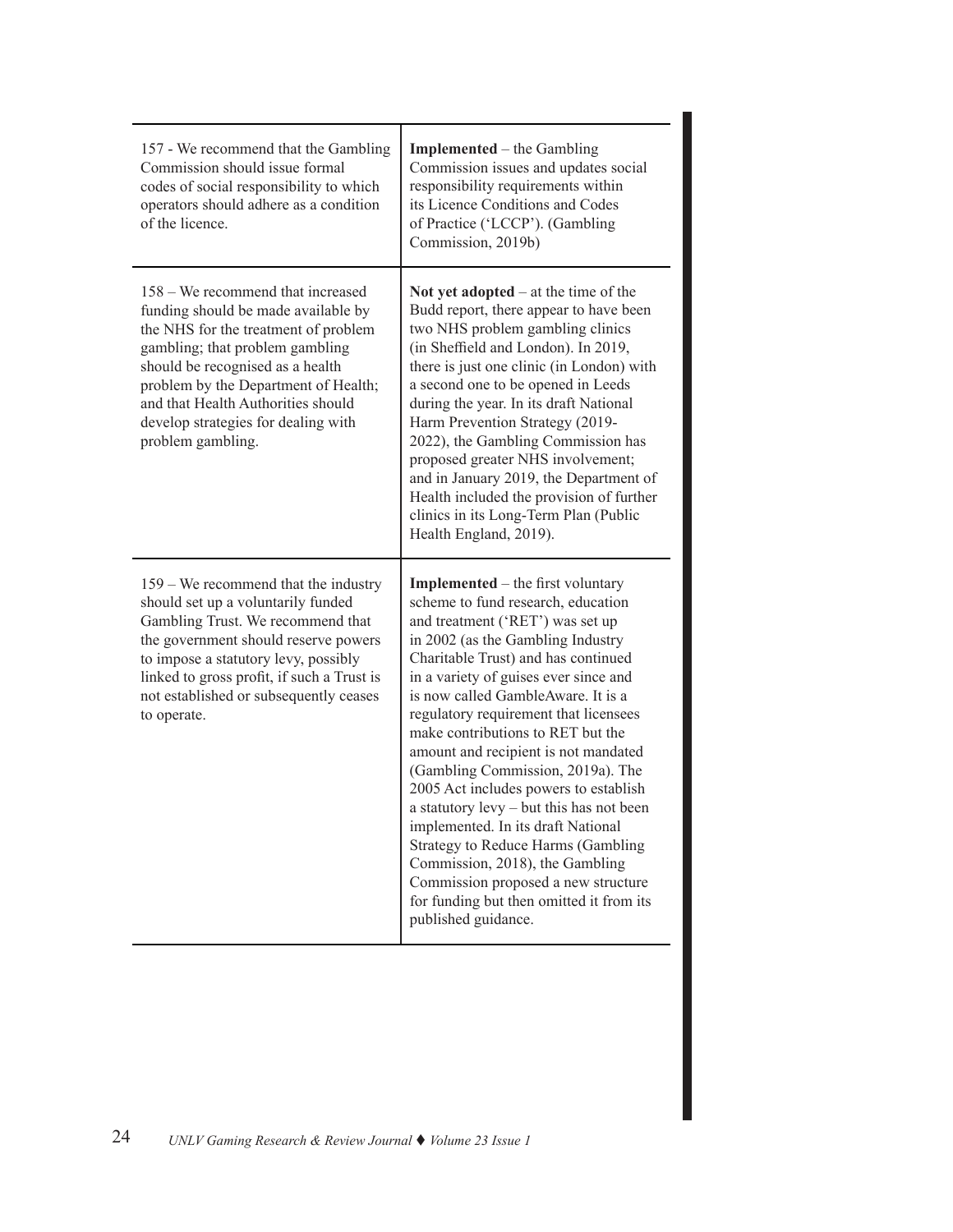| 157 - We recommend that the Gambling<br>Commission should issue formal<br>codes of social responsibility to which<br>operators should adhere as a condition<br>of the licence.                                                                                                                                                    | <b>Implemented</b> – the Gambling<br>Commission issues and updates social<br>responsibility requirements within<br>its Licence Conditions and Codes<br>of Practice ('LCCP'). (Gambling<br>Commission, 2019b)                                                                                                                                                                                                                                                                                                                                                                                                                                                                                                                                           |
|-----------------------------------------------------------------------------------------------------------------------------------------------------------------------------------------------------------------------------------------------------------------------------------------------------------------------------------|--------------------------------------------------------------------------------------------------------------------------------------------------------------------------------------------------------------------------------------------------------------------------------------------------------------------------------------------------------------------------------------------------------------------------------------------------------------------------------------------------------------------------------------------------------------------------------------------------------------------------------------------------------------------------------------------------------------------------------------------------------|
| 158 – We recommend that increased<br>funding should be made available by<br>the NHS for the treatment of problem<br>gambling; that problem gambling<br>should be recognised as a health<br>problem by the Department of Health;<br>and that Health Authorities should<br>develop strategies for dealing with<br>problem gambling. | Not yet adopted $-$ at the time of the<br>Budd report, there appear to have been<br>two NHS problem gambling clinics<br>(in Sheffield and London). In 2019,<br>there is just one clinic (in London) with<br>a second one to be opened in Leeds<br>during the year. In its draft National<br>Harm Prevention Strategy (2019-<br>2022), the Gambling Commission has<br>proposed greater NHS involvement;<br>and in January 2019, the Department of<br>Health included the provision of further<br>clinics in its Long-Term Plan (Public<br>Health England, 2019).                                                                                                                                                                                        |
| 159 – We recommend that the industry<br>should set up a voluntarily funded<br>Gambling Trust. We recommend that<br>the government should reserve powers<br>to impose a statutory levy, possibly<br>linked to gross profit, if such a Trust is<br>not established or subsequently ceases<br>to operate.                            | <b>Implemented</b> – the first voluntary<br>scheme to fund research, education<br>and treatment ('RET') was set up<br>in 2002 (as the Gambling Industry<br>Charitable Trust) and has continued<br>in a variety of guises ever since and<br>is now called GambleAware. It is a<br>regulatory requirement that licensees<br>make contributions to RET but the<br>amount and recipient is not mandated<br>(Gambling Commission, 2019a). The<br>2005 Act includes powers to establish<br>a statutory levy - but this has not been<br>implemented. In its draft National<br>Strategy to Reduce Harms (Gambling<br>Commission, 2018), the Gambling<br>Commission proposed a new structure<br>for funding but then omitted it from its<br>published guidance. |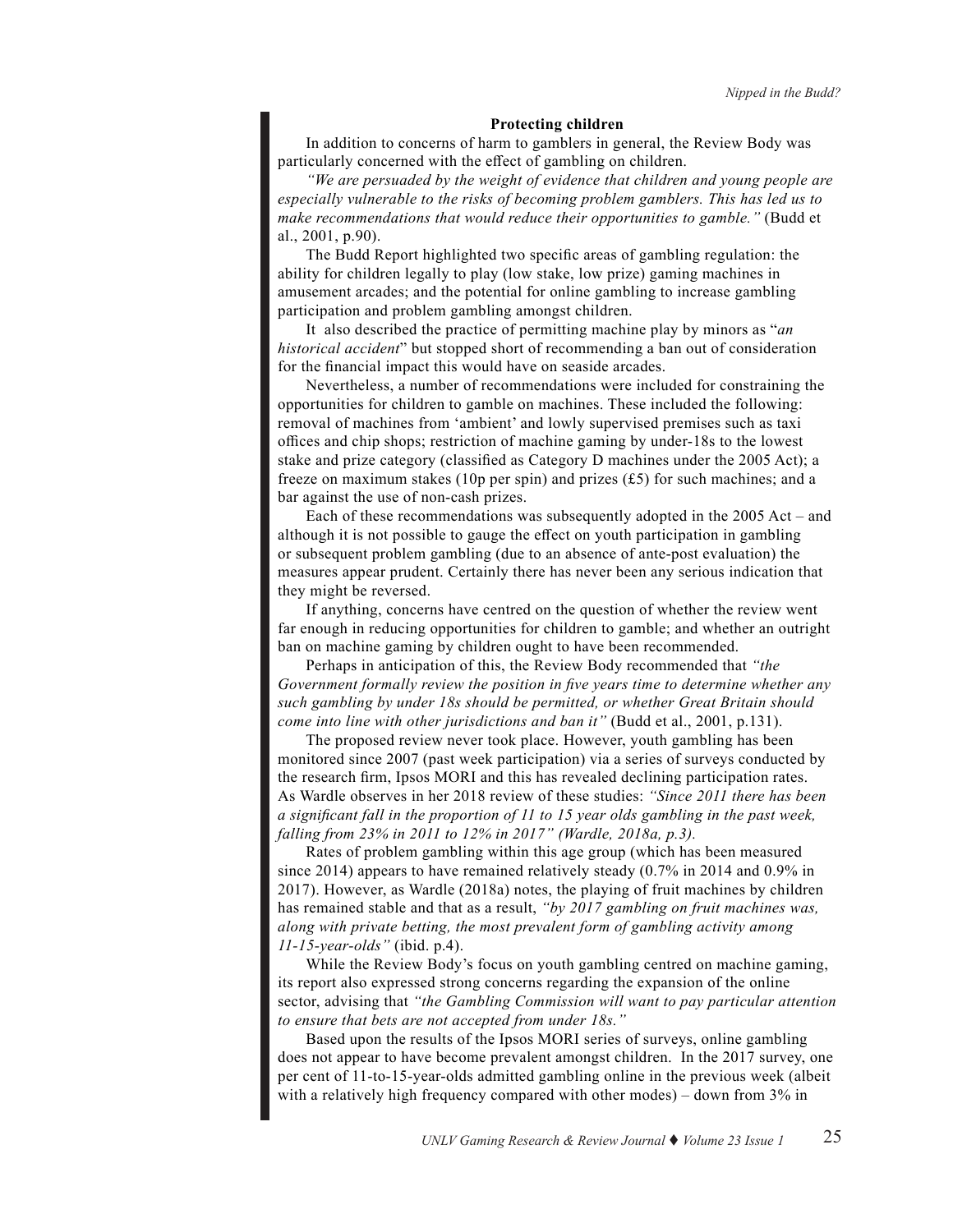#### **Protecting children**

In addition to concerns of harm to gamblers in general, the Review Body was particularly concerned with the effect of gambling on children.

*"We are persuaded by the weight of evidence that children and young people are especially vulnerable to the risks of becoming problem gamblers. This has led us to make recommendations that would reduce their opportunities to gamble."* (Budd et al., 2001, p.90).

The Budd Report highlighted two specific areas of gambling regulation: the ability for children legally to play (low stake, low prize) gaming machines in amusement arcades; and the potential for online gambling to increase gambling participation and problem gambling amongst children.

It also described the practice of permitting machine play by minors as "*an historical accident*" but stopped short of recommending a ban out of consideration for the financial impact this would have on seaside arcades.

Nevertheless, a number of recommendations were included for constraining the opportunities for children to gamble on machines. These included the following: removal of machines from 'ambient' and lowly supervised premises such as taxi offices and chip shops; restriction of machine gaming by under-18s to the lowest stake and prize category (classified as Category D machines under the 2005 Act); a freeze on maximum stakes (10p per spin) and prizes (£5) for such machines; and a bar against the use of non-cash prizes.

Each of these recommendations was subsequently adopted in the 2005 Act – and although it is not possible to gauge the effect on youth participation in gambling or subsequent problem gambling (due to an absence of ante-post evaluation) the measures appear prudent. Certainly there has never been any serious indication that they might be reversed.

If anything, concerns have centred on the question of whether the review went far enough in reducing opportunities for children to gamble; and whether an outright ban on machine gaming by children ought to have been recommended.

Perhaps in anticipation of this, the Review Body recommended that *"the Government formally review the position in five years time to determine whether any such gambling by under 18s should be permitted, or whether Great Britain should come into line with other jurisdictions and ban it"* (Budd et al., 2001, p.131).

The proposed review never took place. However, youth gambling has been monitored since 2007 (past week participation) via a series of surveys conducted by the research firm, Ipsos MORI and this has revealed declining participation rates. As Wardle observes in her 2018 review of these studies: *"Since 2011 there has been a significant fall in the proportion of 11 to 15 year olds gambling in the past week, falling from 23% in 2011 to 12% in 2017" (Wardle, 2018a, p.3).*

Rates of problem gambling within this age group (which has been measured since 2014) appears to have remained relatively steady (0.7% in 2014 and 0.9% in 2017). However, as Wardle (2018a) notes, the playing of fruit machines by children has remained stable and that as a result, *"by 2017 gambling on fruit machines was, along with private betting, the most prevalent form of gambling activity among 11-15-year-olds"* (ibid. p.4).

While the Review Body's focus on youth gambling centred on machine gaming, its report also expressed strong concerns regarding the expansion of the online sector, advising that *"the Gambling Commission will want to pay particular attention to ensure that bets are not accepted from under 18s."*

Based upon the results of the Ipsos MORI series of surveys, online gambling does not appear to have become prevalent amongst children. In the 2017 survey, one per cent of 11-to-15-year-olds admitted gambling online in the previous week (albeit with a relatively high frequency compared with other modes) – down from 3% in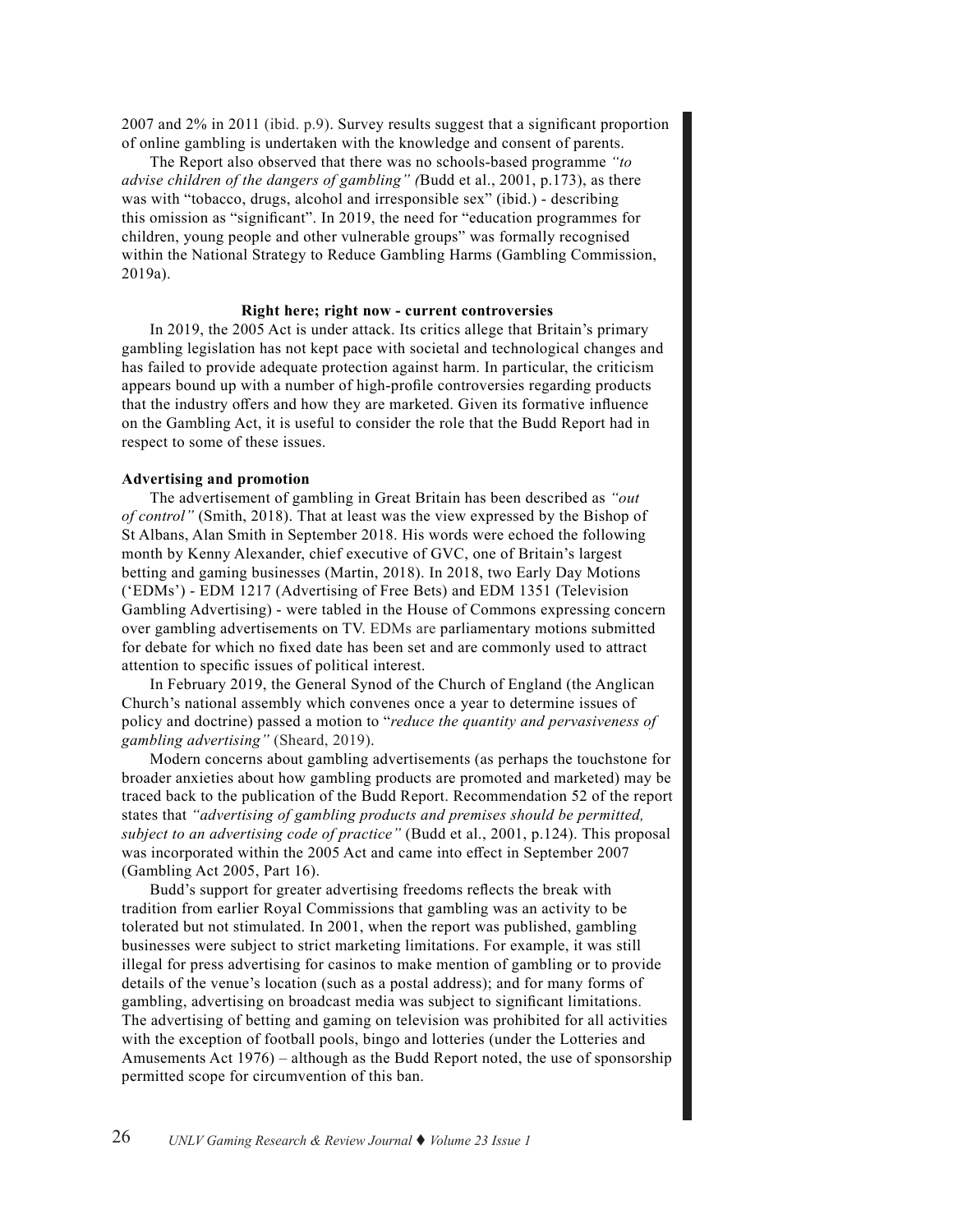2007 and 2% in 2011 (ibid. p.9). Survey results suggest that a significant proportion of online gambling is undertaken with the knowledge and consent of parents.

The Report also observed that there was no schools-based programme *"to advise children of the dangers of gambling" (*Budd et al., 2001, p.173), as there was with "tobacco, drugs, alcohol and irresponsible sex" (ibid.) - describing this omission as "significant". In 2019, the need for "education programmes for children, young people and other vulnerable groups" was formally recognised within the National Strategy to Reduce Gambling Harms (Gambling Commission, 2019a).

#### **Right here; right now - current controversies**

In 2019, the 2005 Act is under attack. Its critics allege that Britain's primary gambling legislation has not kept pace with societal and technological changes and has failed to provide adequate protection against harm. In particular, the criticism appears bound up with a number of high-profile controversies regarding products that the industry offers and how they are marketed. Given its formative influence on the Gambling Act, it is useful to consider the role that the Budd Report had in respect to some of these issues.

#### **Advertising and promotion**

The advertisement of gambling in Great Britain has been described as *"out of control"* (Smith, 2018). That at least was the view expressed by the Bishop of St Albans, Alan Smith in September 2018. His words were echoed the following month by Kenny Alexander, chief executive of GVC, one of Britain's largest betting and gaming businesses (Martin, 2018). In 2018, two Early Day Motions ('EDMs') - EDM 1217 (Advertising of Free Bets) and EDM 1351 (Television Gambling Advertising) - were tabled in the House of Commons expressing concern over gambling advertisements on TV. EDMs are parliamentary motions submitted for debate for which no fixed date has been set and are commonly used to attract attention to specific issues of political interest.

In February 2019, the General Synod of the Church of England (the Anglican Church's national assembly which convenes once a year to determine issues of policy and doctrine) passed a motion to "*reduce the quantity and pervasiveness of gambling advertising"* (Sheard, 2019).

Modern concerns about gambling advertisements (as perhaps the touchstone for broader anxieties about how gambling products are promoted and marketed) may be traced back to the publication of the Budd Report. Recommendation 52 of the report states that *"advertising of gambling products and premises should be permitted, subject to an advertising code of practice"* (Budd et al., 2001, p.124). This proposal was incorporated within the 2005 Act and came into effect in September 2007 (Gambling Act 2005, Part 16).

Budd's support for greater advertising freedoms reflects the break with tradition from earlier Royal Commissions that gambling was an activity to be tolerated but not stimulated. In 2001, when the report was published, gambling businesses were subject to strict marketing limitations. For example, it was still illegal for press advertising for casinos to make mention of gambling or to provide details of the venue's location (such as a postal address); and for many forms of gambling, advertising on broadcast media was subject to significant limitations. The advertising of betting and gaming on television was prohibited for all activities with the exception of football pools, bingo and lotteries (under the Lotteries and Amusements Act 1976) – although as the Budd Report noted, the use of sponsorship permitted scope for circumvention of this ban.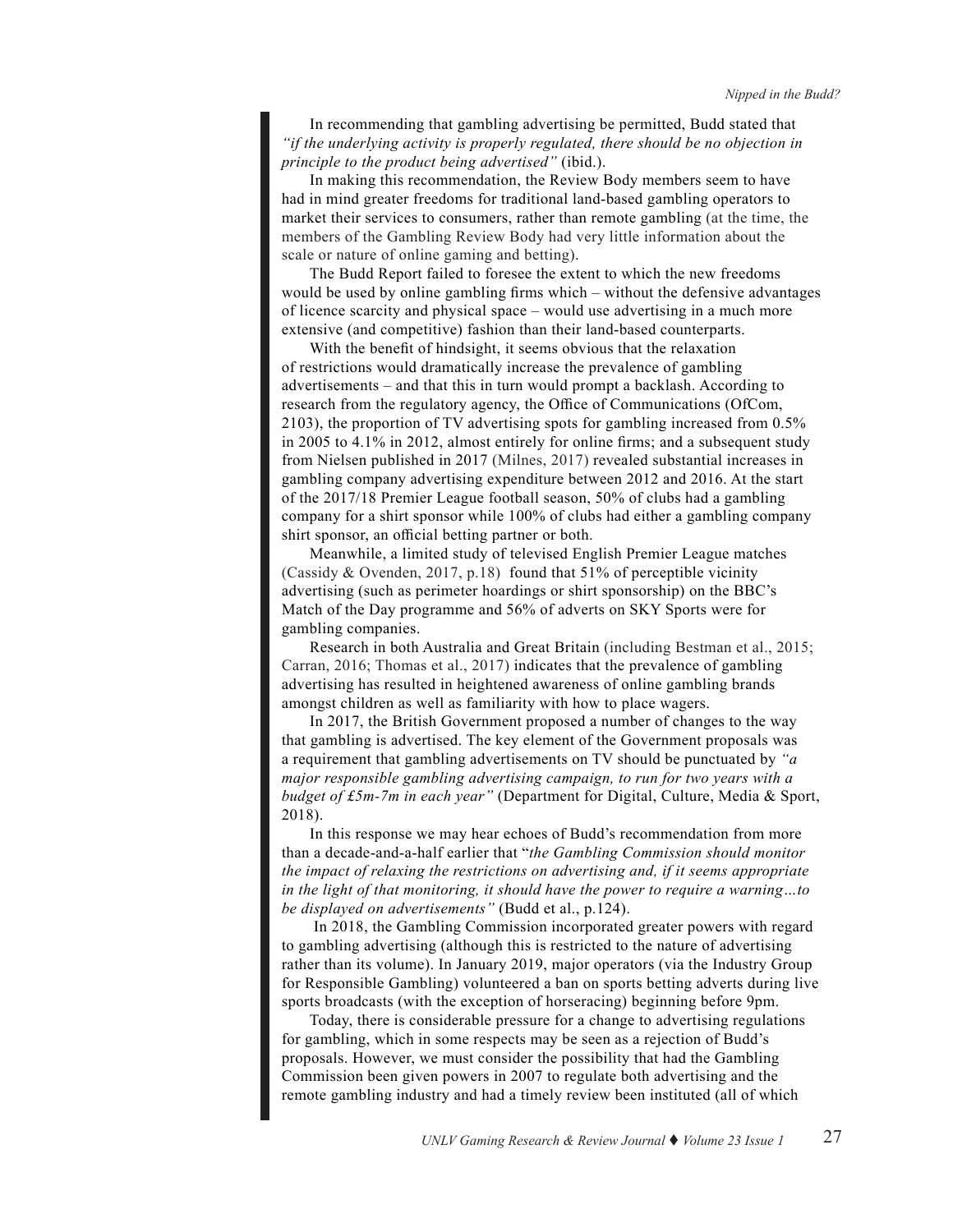In recommending that gambling advertising be permitted, Budd stated that *"if the underlying activity is properly regulated, there should be no objection in principle to the product being advertised"* (ibid.).

In making this recommendation, the Review Body members seem to have had in mind greater freedoms for traditional land-based gambling operators to market their services to consumers, rather than remote gambling (at the time, the members of the Gambling Review Body had very little information about the scale or nature of online gaming and betting).

The Budd Report failed to foresee the extent to which the new freedoms would be used by online gambling firms which – without the defensive advantages of licence scarcity and physical space – would use advertising in a much more extensive (and competitive) fashion than their land-based counterparts.

With the benefit of hindsight, it seems obvious that the relaxation of restrictions would dramatically increase the prevalence of gambling advertisements – and that this in turn would prompt a backlash. According to research from the regulatory agency, the Office of Communications (OfCom, 2103), the proportion of TV advertising spots for gambling increased from 0.5% in 2005 to 4.1% in 2012, almost entirely for online firms; and a subsequent study from Nielsen published in 2017 (Milnes, 2017) revealed substantial increases in gambling company advertising expenditure between 2012 and 2016. At the start of the 2017/18 Premier League football season, 50% of clubs had a gambling company for a shirt sponsor while 100% of clubs had either a gambling company shirt sponsor, an official betting partner or both.

Meanwhile, a limited study of televised English Premier League matches (Cassidy & Ovenden, 2017, p.18) found that 51% of perceptible vicinity advertising (such as perimeter hoardings or shirt sponsorship) on the BBC's Match of the Day programme and 56% of adverts on SKY Sports were for gambling companies.

Research in both Australia and Great Britain (including Bestman et al., 2015; Carran, 2016; Thomas et al., 2017) indicates that the prevalence of gambling advertising has resulted in heightened awareness of online gambling brands amongst children as well as familiarity with how to place wagers.

In 2017, the British Government proposed a number of changes to the way that gambling is advertised. The key element of the Government proposals was a requirement that gambling advertisements on TV should be punctuated by *"a major responsible gambling advertising campaign, to run for two years with a budget of £5m-7m in each year"* (Department for Digital, Culture, Media & Sport, 2018).

In this response we may hear echoes of Budd's recommendation from more than a decade-and-a-half earlier that "*the Gambling Commission should monitor the impact of relaxing the restrictions on advertising and, if it seems appropriate in the light of that monitoring, it should have the power to require a warning…to be displayed on advertisements"* (Budd et al., p.124).

In 2018, the Gambling Commission incorporated greater powers with regard to gambling advertising (although this is restricted to the nature of advertising rather than its volume). In January 2019, major operators (via the Industry Group for Responsible Gambling) volunteered a ban on sports betting adverts during live sports broadcasts (with the exception of horseracing) beginning before 9pm.

Today, there is considerable pressure for a change to advertising regulations for gambling, which in some respects may be seen as a rejection of Budd's proposals. However, we must consider the possibility that had the Gambling Commission been given powers in 2007 to regulate both advertising and the remote gambling industry and had a timely review been instituted (all of which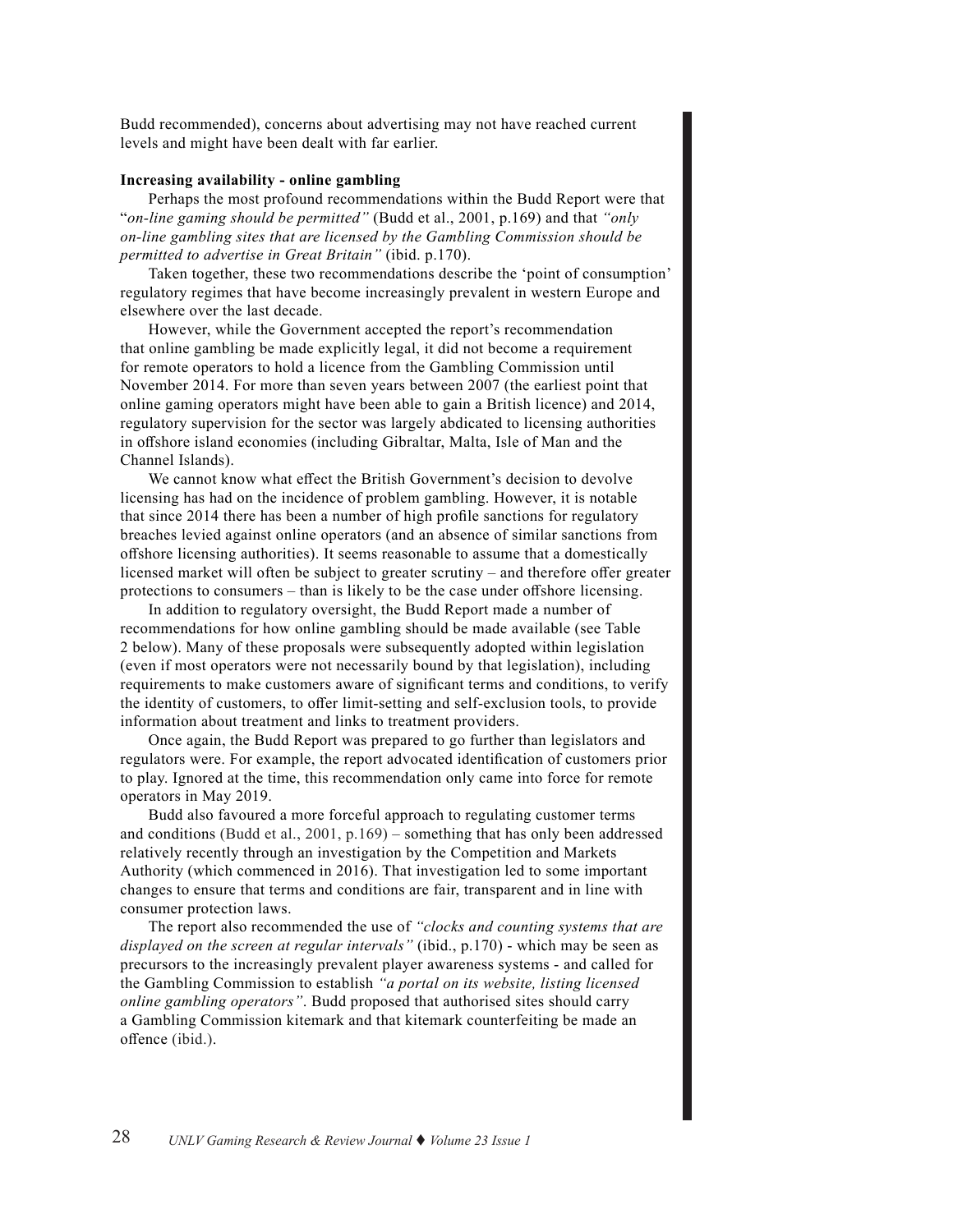Budd recommended), concerns about advertising may not have reached current levels and might have been dealt with far earlier.

#### **Increasing availability - online gambling**

Perhaps the most profound recommendations within the Budd Report were that "*on-line gaming should be permitted"* (Budd et al., 2001, p.169) and that *"only on-line gambling sites that are licensed by the Gambling Commission should be permitted to advertise in Great Britain"* (ibid. p.170).

Taken together, these two recommendations describe the 'point of consumption' regulatory regimes that have become increasingly prevalent in western Europe and elsewhere over the last decade.

However, while the Government accepted the report's recommendation that online gambling be made explicitly legal, it did not become a requirement for remote operators to hold a licence from the Gambling Commission until November 2014. For more than seven years between 2007 (the earliest point that online gaming operators might have been able to gain a British licence) and 2014, regulatory supervision for the sector was largely abdicated to licensing authorities in offshore island economies (including Gibraltar, Malta, Isle of Man and the Channel Islands).

We cannot know what effect the British Government's decision to devolve licensing has had on the incidence of problem gambling. However, it is notable that since 2014 there has been a number of high profile sanctions for regulatory breaches levied against online operators (and an absence of similar sanctions from offshore licensing authorities). It seems reasonable to assume that a domestically licensed market will often be subject to greater scrutiny – and therefore offer greater protections to consumers – than is likely to be the case under offshore licensing.

In addition to regulatory oversight, the Budd Report made a number of recommendations for how online gambling should be made available (see Table 2 below). Many of these proposals were subsequently adopted within legislation (even if most operators were not necessarily bound by that legislation), including requirements to make customers aware of significant terms and conditions, to verify the identity of customers, to offer limit-setting and self-exclusion tools, to provide information about treatment and links to treatment providers.

Once again, the Budd Report was prepared to go further than legislators and regulators were. For example, the report advocated identification of customers prior to play. Ignored at the time, this recommendation only came into force for remote operators in May 2019.

Budd also favoured a more forceful approach to regulating customer terms and conditions (Budd et al., 2001,  $p.169$ ) – something that has only been addressed relatively recently through an investigation by the Competition and Markets Authority (which commenced in 2016). That investigation led to some important changes to ensure that terms and conditions are fair, transparent and in line with consumer protection laws.

The report also recommended the use of *"clocks and counting systems that are displayed on the screen at regular intervals"* (ibid., p.170) - which may be seen as precursors to the increasingly prevalent player awareness systems - and called for the Gambling Commission to establish *"a portal on its website, listing licensed online gambling operators"*. Budd proposed that authorised sites should carry a Gambling Commission kitemark and that kitemark counterfeiting be made an offence (ibid.).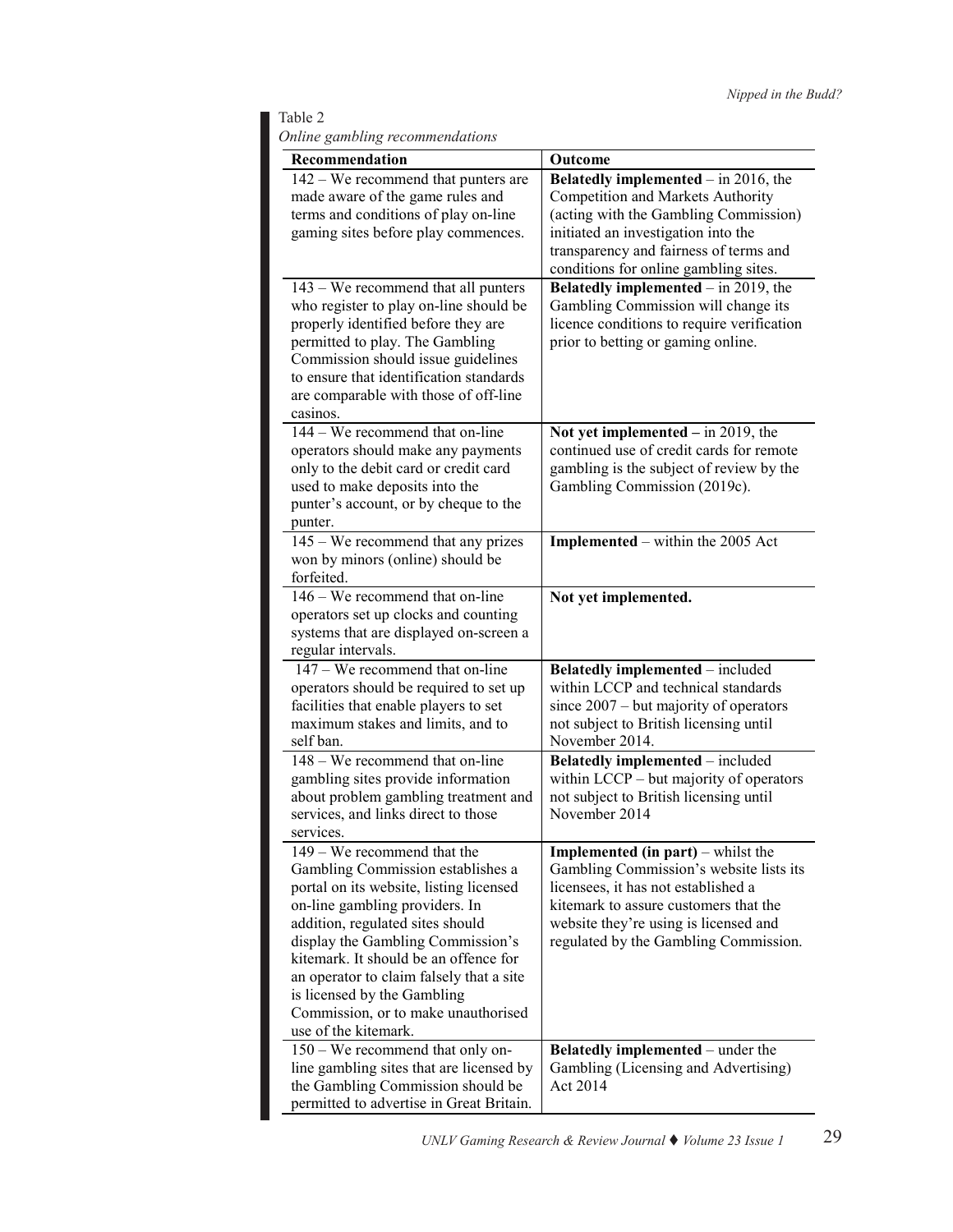Table 2 *Online gambling recommendations*

| Recommendation                                                                                                                                                                                                                                                                                                                                                                                            | Outcome                                                                                                                                                                                                                                                |
|-----------------------------------------------------------------------------------------------------------------------------------------------------------------------------------------------------------------------------------------------------------------------------------------------------------------------------------------------------------------------------------------------------------|--------------------------------------------------------------------------------------------------------------------------------------------------------------------------------------------------------------------------------------------------------|
| $142 - We$ recommend that punters are<br>made aware of the game rules and<br>terms and conditions of play on-line                                                                                                                                                                                                                                                                                         | Belatedly implemented $-$ in 2016, the<br>Competition and Markets Authority<br>(acting with the Gambling Commission)                                                                                                                                   |
| gaming sites before play commences.                                                                                                                                                                                                                                                                                                                                                                       | initiated an investigation into the<br>transparency and fairness of terms and<br>conditions for online gambling sites.                                                                                                                                 |
| 143 – We recommend that all punters<br>who register to play on-line should be<br>properly identified before they are<br>permitted to play. The Gambling<br>Commission should issue guidelines<br>to ensure that identification standards<br>are comparable with those of off-line<br>casinos.                                                                                                             | Belatedly implemented $-$ in 2019, the<br>Gambling Commission will change its<br>licence conditions to require verification<br>prior to betting or gaming online.                                                                                      |
| 144 – We recommend that on-line<br>operators should make any payments<br>only to the debit card or credit card<br>used to make deposits into the<br>punter's account, or by cheque to the<br>punter.                                                                                                                                                                                                      | Not yet implemented $-$ in 2019, the<br>continued use of credit cards for remote<br>gambling is the subject of review by the<br>Gambling Commission (2019c).                                                                                           |
| 145 – We recommend that any prizes<br>won by minors (online) should be<br>forfeited.                                                                                                                                                                                                                                                                                                                      | Implemented – within the 2005 Act                                                                                                                                                                                                                      |
| $146 -$ We recommend that on-line<br>operators set up clocks and counting<br>systems that are displayed on-screen a<br>regular intervals.                                                                                                                                                                                                                                                                 | Not yet implemented.                                                                                                                                                                                                                                   |
| 147 – We recommend that on-line<br>operators should be required to set up<br>facilities that enable players to set<br>maximum stakes and limits, and to<br>self ban.                                                                                                                                                                                                                                      | <b>Belatedly implemented</b> – included<br>within LCCP and technical standards<br>since $2007 - but majority of operators$<br>not subject to British licensing until<br>November 2014.                                                                 |
| $148 -$ We recommend that on-line<br>gambling sites provide information<br>about problem gambling treatment and<br>services, and links direct to those<br>services.                                                                                                                                                                                                                                       | Belatedly implemented - included<br>within LCCP – but majority of operators<br>not subject to British licensing until<br>November 2014                                                                                                                 |
| 149 - We recommend that the<br>Gambling Commission establishes a<br>portal on its website, listing licensed<br>on-line gambling providers. In<br>addition, regulated sites should<br>display the Gambling Commission's<br>kitemark. It should be an offence for<br>an operator to claim falsely that a site<br>is licensed by the Gambling<br>Commission, or to make unauthorised<br>use of the kitemark. | <b>Implemented (in part)</b> – whilst the<br>Gambling Commission's website lists its<br>licensees, it has not established a<br>kitemark to assure customers that the<br>website they're using is licensed and<br>regulated by the Gambling Commission. |
| 150 - We recommend that only on-<br>line gambling sites that are licensed by<br>the Gambling Commission should be<br>permitted to advertise in Great Britain.                                                                                                                                                                                                                                             | <b>Belatedly implemented</b> – under the<br>Gambling (Licensing and Advertising)<br>Act 2014                                                                                                                                                           |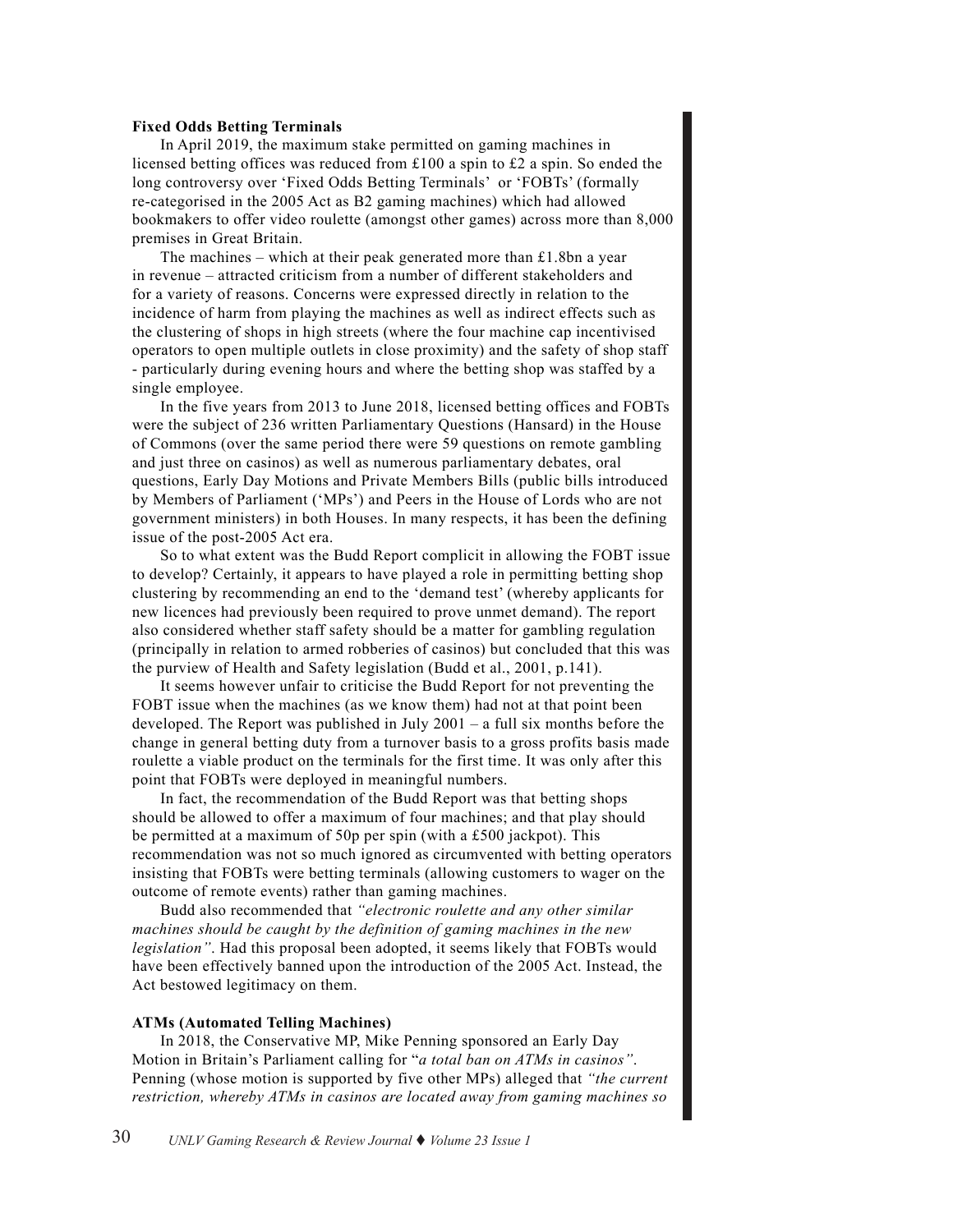#### **Fixed Odds Betting Terminals**

In April 2019, the maximum stake permitted on gaming machines in licensed betting offices was reduced from £100 a spin to £2 a spin. So ended the long controversy over 'Fixed Odds Betting Terminals' or 'FOBTs' (formally re-categorised in the 2005 Act as B2 gaming machines) which had allowed bookmakers to offer video roulette (amongst other games) across more than 8,000 premises in Great Britain.

The machines – which at their peak generated more than  $£1.8$ bn a year in revenue – attracted criticism from a number of different stakeholders and for a variety of reasons. Concerns were expressed directly in relation to the incidence of harm from playing the machines as well as indirect effects such as the clustering of shops in high streets (where the four machine cap incentivised operators to open multiple outlets in close proximity) and the safety of shop staff - particularly during evening hours and where the betting shop was staffed by a single employee.

In the five years from 2013 to June 2018, licensed betting offices and FOBTs were the subject of 236 written Parliamentary Questions (Hansard) in the House of Commons (over the same period there were 59 questions on remote gambling and just three on casinos) as well as numerous parliamentary debates, oral questions, Early Day Motions and Private Members Bills (public bills introduced by Members of Parliament ('MPs') and Peers in the House of Lords who are not government ministers) in both Houses. In many respects, it has been the defining issue of the post-2005 Act era.

So to what extent was the Budd Report complicit in allowing the FOBT issue to develop? Certainly, it appears to have played a role in permitting betting shop clustering by recommending an end to the 'demand test' (whereby applicants for new licences had previously been required to prove unmet demand). The report also considered whether staff safety should be a matter for gambling regulation (principally in relation to armed robberies of casinos) but concluded that this was the purview of Health and Safety legislation (Budd et al., 2001, p.141).

It seems however unfair to criticise the Budd Report for not preventing the FOBT issue when the machines (as we know them) had not at that point been developed. The Report was published in July 2001 – a full six months before the change in general betting duty from a turnover basis to a gross profits basis made roulette a viable product on the terminals for the first time. It was only after this point that FOBTs were deployed in meaningful numbers.

In fact, the recommendation of the Budd Report was that betting shops should be allowed to offer a maximum of four machines; and that play should be permitted at a maximum of 50p per spin (with a £500 jackpot). This recommendation was not so much ignored as circumvented with betting operators insisting that FOBTs were betting terminals (allowing customers to wager on the outcome of remote events) rather than gaming machines.

Budd also recommended that *"electronic roulette and any other similar machines should be caught by the definition of gaming machines in the new legislation*". Had this proposal been adopted, it seems likely that FOBTs would have been effectively banned upon the introduction of the 2005 Act. Instead, the Act bestowed legitimacy on them.

#### **ATMs (Automated Telling Machines)**

In 2018, the Conservative MP, Mike Penning sponsored an Early Day Motion in Britain's Parliament calling for "*a total ban on ATMs in casinos"*. Penning (whose motion is supported by five other MPs) alleged that *"the current restriction, whereby ATMs in casinos are located away from gaming machines so*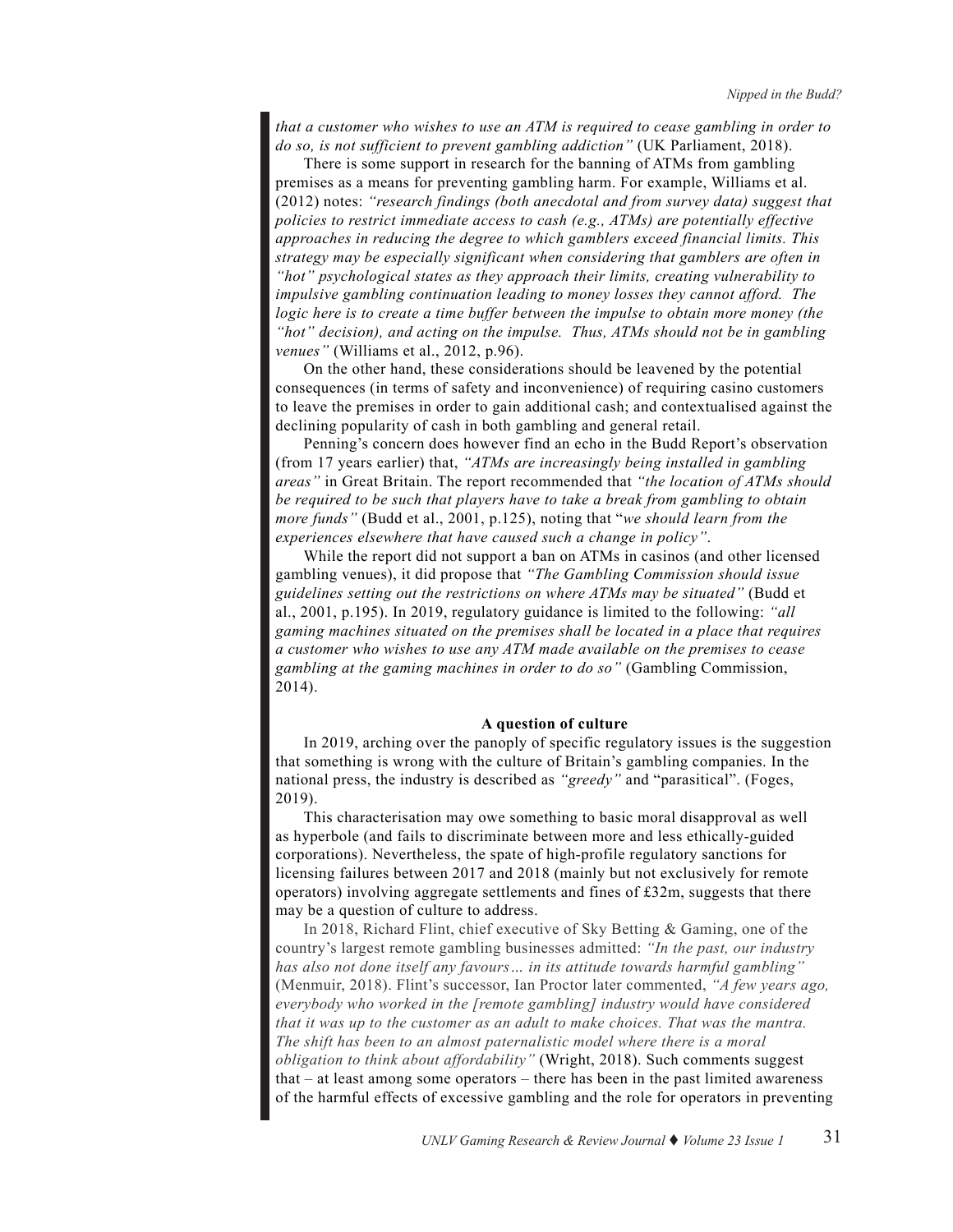*that a customer who wishes to use an ATM is required to cease gambling in order to do so, is not sufficient to prevent gambling addiction"* (UK Parliament, 2018).

There is some support in research for the banning of ATMs from gambling premises as a means for preventing gambling harm. For example, Williams et al. (2012) notes: *"research findings (both anecdotal and from survey data) suggest that policies to restrict immediate access to cash (e.g., ATMs) are potentially effective approaches in reducing the degree to which gamblers exceed financial limits. This strategy may be especially significant when considering that gamblers are often in "hot" psychological states as they approach their limits, creating vulnerability to impulsive gambling continuation leading to money losses they cannot afford. The logic here is to create a time buffer between the impulse to obtain more money (the "hot" decision), and acting on the impulse. Thus, ATMs should not be in gambling venues"* (Williams et al., 2012, p.96).

On the other hand, these considerations should be leavened by the potential consequences (in terms of safety and inconvenience) of requiring casino customers to leave the premises in order to gain additional cash; and contextualised against the declining popularity of cash in both gambling and general retail.

Penning's concern does however find an echo in the Budd Report's observation (from 17 years earlier) that, *"ATMs are increasingly being installed in gambling areas"* in Great Britain. The report recommended that *"the location of ATMs should be required to be such that players have to take a break from gambling to obtain more funds"* (Budd et al., 2001, p.125), noting that "*we should learn from the experiences elsewhere that have caused such a change in policy"*.

While the report did not support a ban on ATMs in casinos (and other licensed gambling venues), it did propose that *"The Gambling Commission should issue guidelines setting out the restrictions on where ATMs may be situated"* (Budd et al., 2001, p.195). In 2019, regulatory guidance is limited to the following: *"all gaming machines situated on the premises shall be located in a place that requires a customer who wishes to use any ATM made available on the premises to cease gambling at the gaming machines in order to do so"* (Gambling Commission, 2014).

#### **A question of culture**

In 2019, arching over the panoply of specific regulatory issues is the suggestion that something is wrong with the culture of Britain's gambling companies. In the national press, the industry is described as *"greedy"* and "parasitical". (Foges, 2019).

This characterisation may owe something to basic moral disapproval as well as hyperbole (and fails to discriminate between more and less ethically-guided corporations). Nevertheless, the spate of high-profile regulatory sanctions for licensing failures between 2017 and 2018 (mainly but not exclusively for remote operators) involving aggregate settlements and fines of £32m, suggests that there may be a question of culture to address.

In 2018, Richard Flint, chief executive of Sky Betting & Gaming, one of the country's largest remote gambling businesses admitted: *"In the past, our industry*  has also not done itself any favours... in its attitude towards harmful gambling" (Menmuir, 2018). Flint's successor, Ian Proctor later commented, *"A few years ago, everybody who worked in the [remote gambling] industry would have considered that it was up to the customer as an adult to make choices. That was the mantra. The shift has been to an almost paternalistic model where there is a moral obligation to think about affordability"* (Wright, 2018). Such comments suggest that – at least among some operators – there has been in the past limited awareness of the harmful effects of excessive gambling and the role for operators in preventing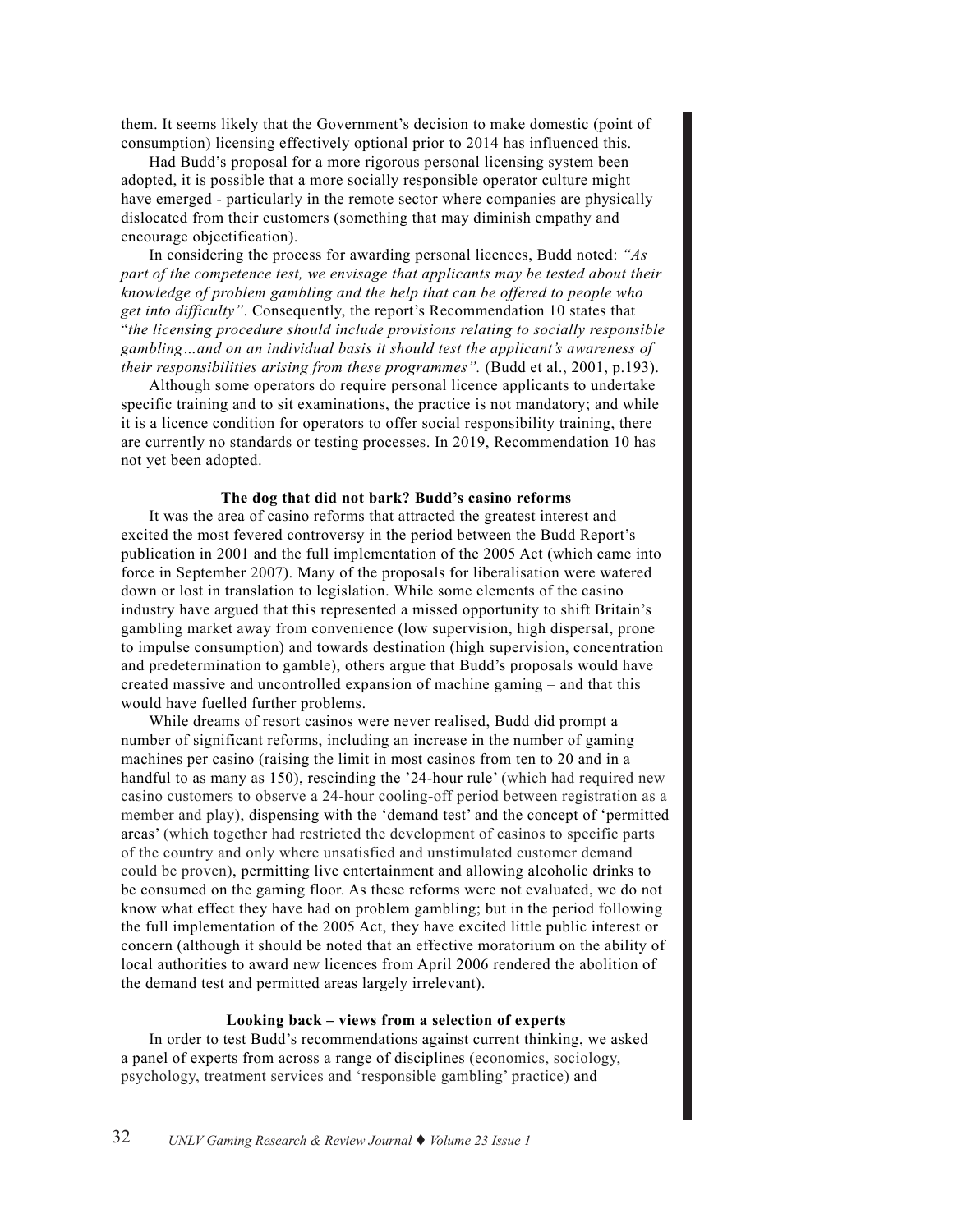them. It seems likely that the Government's decision to make domestic (point of consumption) licensing effectively optional prior to 2014 has influenced this.

Had Budd's proposal for a more rigorous personal licensing system been adopted, it is possible that a more socially responsible operator culture might have emerged - particularly in the remote sector where companies are physically dislocated from their customers (something that may diminish empathy and encourage objectification).

In considering the process for awarding personal licences, Budd noted: *"As part of the competence test, we envisage that applicants may be tested about their knowledge of problem gambling and the help that can be offered to people who get into difficulty"*. Consequently, the report's Recommendation 10 states that "*the licensing procedure should include provisions relating to socially responsible gambling…and on an individual basis it should test the applicant's awareness of their responsibilities arising from these programmes".* (Budd et al., 2001, p.193).

Although some operators do require personal licence applicants to undertake specific training and to sit examinations, the practice is not mandatory; and while it is a licence condition for operators to offer social responsibility training, there are currently no standards or testing processes. In 2019, Recommendation 10 has not yet been adopted.

#### **The dog that did not bark? Budd's casino reforms**

It was the area of casino reforms that attracted the greatest interest and excited the most fevered controversy in the period between the Budd Report's publication in 2001 and the full implementation of the 2005 Act (which came into force in September 2007). Many of the proposals for liberalisation were watered down or lost in translation to legislation. While some elements of the casino industry have argued that this represented a missed opportunity to shift Britain's gambling market away from convenience (low supervision, high dispersal, prone to impulse consumption) and towards destination (high supervision, concentration and predetermination to gamble), others argue that Budd's proposals would have created massive and uncontrolled expansion of machine gaming – and that this would have fuelled further problems.

While dreams of resort casinos were never realised, Budd did prompt a number of significant reforms, including an increase in the number of gaming machines per casino (raising the limit in most casinos from ten to 20 and in a handful to as many as 150), rescinding the '24-hour rule' (which had required new casino customers to observe a 24-hour cooling-off period between registration as a member and play), dispensing with the 'demand test' and the concept of 'permitted areas' (which together had restricted the development of casinos to specific parts of the country and only where unsatisfied and unstimulated customer demand could be proven), permitting live entertainment and allowing alcoholic drinks to be consumed on the gaming floor. As these reforms were not evaluated, we do not know what effect they have had on problem gambling; but in the period following the full implementation of the 2005 Act, they have excited little public interest or concern (although it should be noted that an effective moratorium on the ability of local authorities to award new licences from April 2006 rendered the abolition of the demand test and permitted areas largely irrelevant).

#### **Looking back – views from a selection of experts**

In order to test Budd's recommendations against current thinking, we asked a panel of experts from across a range of disciplines (economics, sociology, psychology, treatment services and 'responsible gambling' practice) and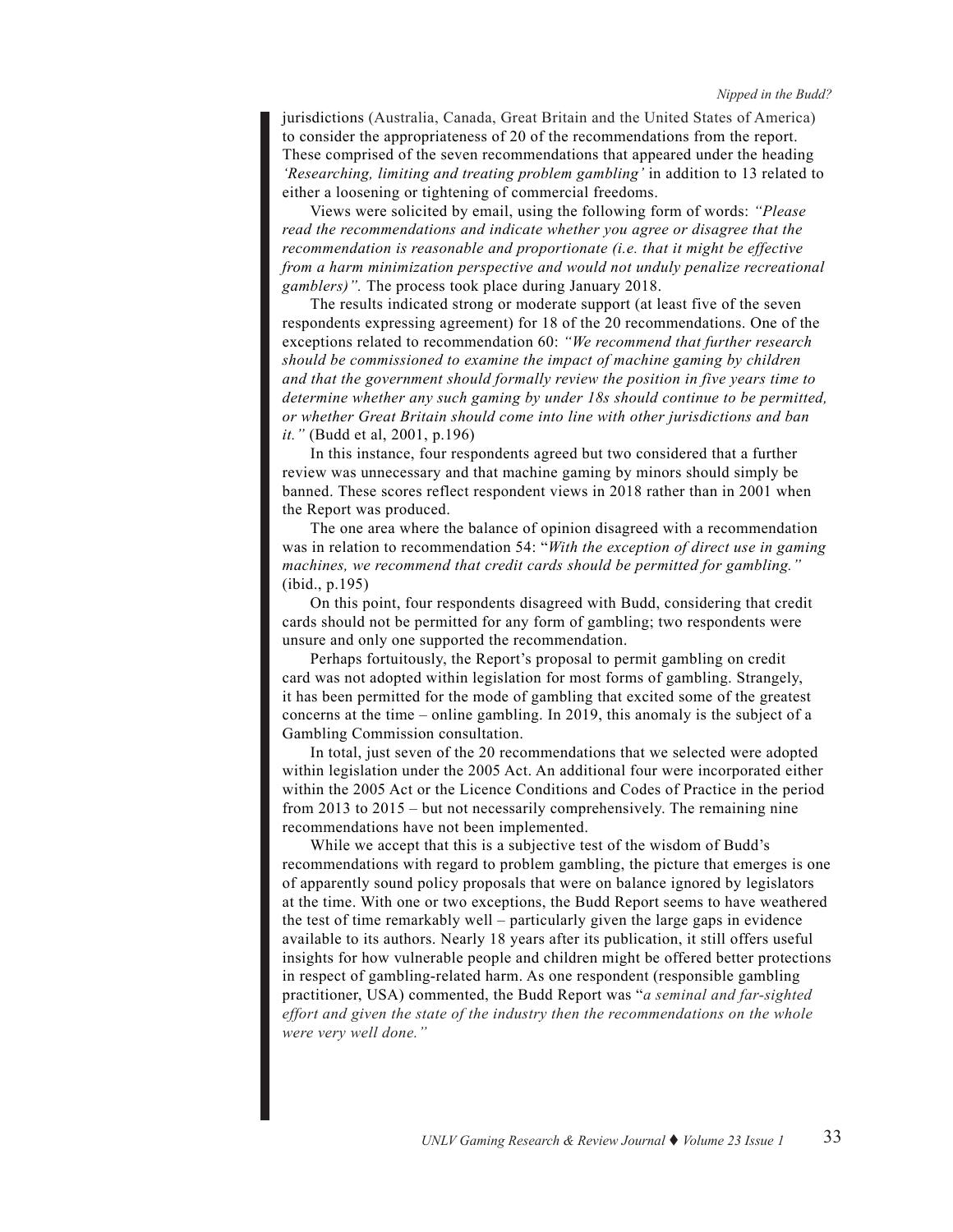jurisdictions (Australia, Canada, Great Britain and the United States of America) to consider the appropriateness of 20 of the recommendations from the report. These comprised of the seven recommendations that appeared under the heading *'Researching, limiting and treating problem gambling'* in addition to 13 related to either a loosening or tightening of commercial freedoms.

Views were solicited by email, using the following form of words: *"Please read the recommendations and indicate whether you agree or disagree that the recommendation is reasonable and proportionate (i.e. that it might be effective from a harm minimization perspective and would not unduly penalize recreational gamblers)".* The process took place during January 2018.

The results indicated strong or moderate support (at least five of the seven respondents expressing agreement) for 18 of the 20 recommendations. One of the exceptions related to recommendation 60: *"We recommend that further research should be commissioned to examine the impact of machine gaming by children and that the government should formally review the position in five years time to determine whether any such gaming by under 18s should continue to be permitted, or whether Great Britain should come into line with other jurisdictions and ban it."* (Budd et al, 2001, p.196)

In this instance, four respondents agreed but two considered that a further review was unnecessary and that machine gaming by minors should simply be banned. These scores reflect respondent views in 2018 rather than in 2001 when the Report was produced.

The one area where the balance of opinion disagreed with a recommendation was in relation to recommendation 54: "*With the exception of direct use in gaming machines, we recommend that credit cards should be permitted for gambling."*  (ibid., p.195)

On this point, four respondents disagreed with Budd, considering that credit cards should not be permitted for any form of gambling; two respondents were unsure and only one supported the recommendation.

Perhaps fortuitously, the Report's proposal to permit gambling on credit card was not adopted within legislation for most forms of gambling. Strangely, it has been permitted for the mode of gambling that excited some of the greatest concerns at the time – online gambling. In 2019, this anomaly is the subject of a Gambling Commission consultation.

In total, just seven of the 20 recommendations that we selected were adopted within legislation under the 2005 Act. An additional four were incorporated either within the 2005 Act or the Licence Conditions and Codes of Practice in the period from 2013 to 2015 – but not necessarily comprehensively. The remaining nine recommendations have not been implemented.

While we accept that this is a subjective test of the wisdom of Budd's recommendations with regard to problem gambling, the picture that emerges is one of apparently sound policy proposals that were on balance ignored by legislators at the time. With one or two exceptions, the Budd Report seems to have weathered the test of time remarkably well – particularly given the large gaps in evidence available to its authors. Nearly 18 years after its publication, it still offers useful insights for how vulnerable people and children might be offered better protections in respect of gambling-related harm. As one respondent (responsible gambling practitioner, USA) commented, the Budd Report was "*a seminal and far-sighted effort and given the state of the industry then the recommendations on the whole were very well done."*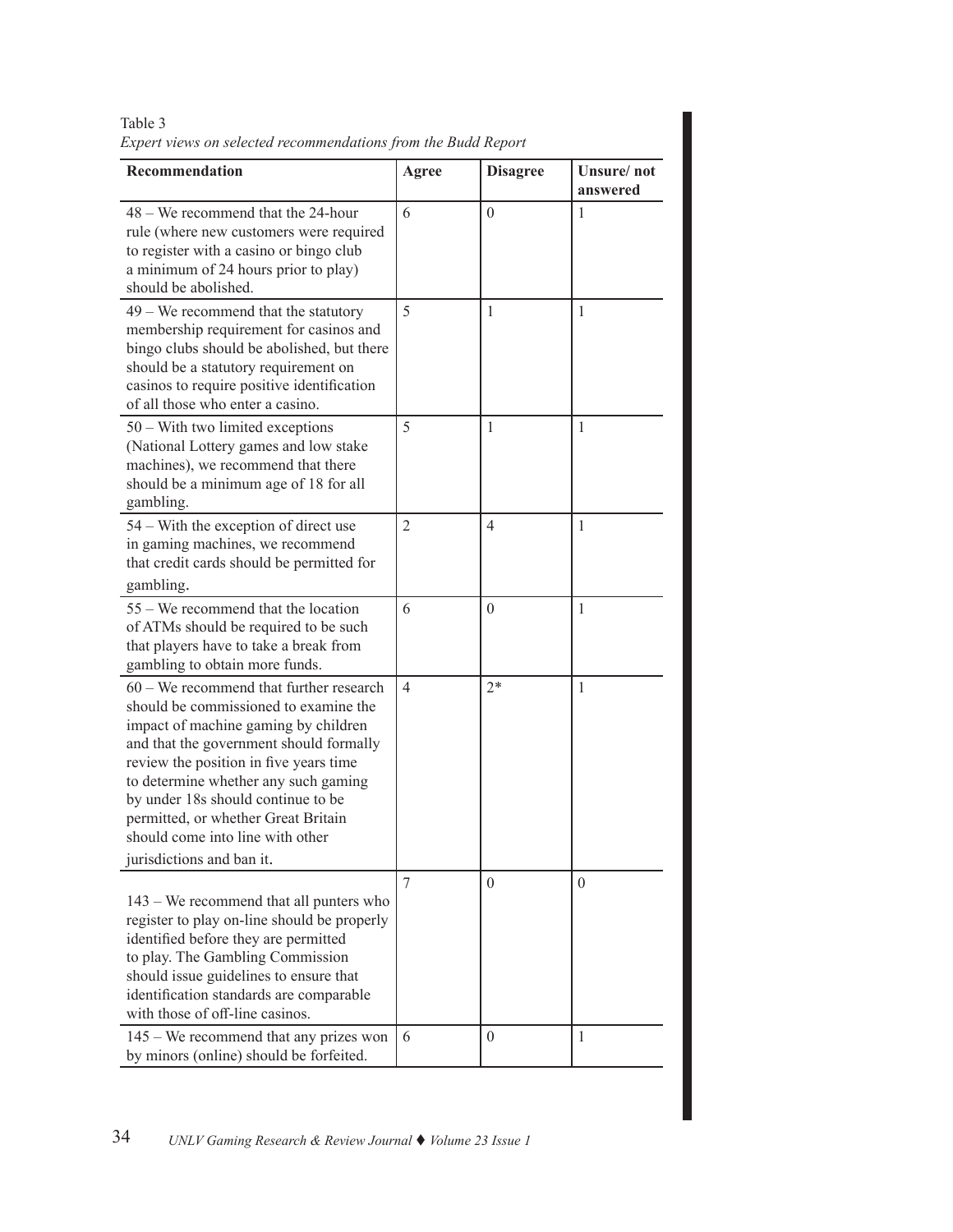|                                                                                                                                                                                                                                                                                                                                                                                                       | ехрет те из он зетестей тесоттепийном дтот те виши керон |                 |                        |  |
|-------------------------------------------------------------------------------------------------------------------------------------------------------------------------------------------------------------------------------------------------------------------------------------------------------------------------------------------------------------------------------------------------------|----------------------------------------------------------|-----------------|------------------------|--|
| Recommendation                                                                                                                                                                                                                                                                                                                                                                                        | Agree                                                    | <b>Disagree</b> | Unsure/not<br>answered |  |
| 48 – We recommend that the 24-hour<br>rule (where new customers were required<br>to register with a casino or bingo club<br>a minimum of 24 hours prior to play)<br>should be abolished.                                                                                                                                                                                                              | 6                                                        | $\theta$        | 1                      |  |
| $49 -$ We recommend that the statutory<br>membership requirement for casinos and<br>bingo clubs should be abolished, but there<br>should be a statutory requirement on<br>casinos to require positive identification<br>of all those who enter a casino.                                                                                                                                              | 5                                                        | 1               | $\mathbf{1}$           |  |
| $50 -$ With two limited exceptions<br>(National Lottery games and low stake<br>machines), we recommend that there<br>should be a minimum age of 18 for all<br>gambling.                                                                                                                                                                                                                               | 5                                                        | 1               | 1                      |  |
| 54 – With the exception of direct use<br>in gaming machines, we recommend<br>that credit cards should be permitted for                                                                                                                                                                                                                                                                                | $\overline{2}$                                           | $\overline{4}$  | $\mathbf{1}$           |  |
| gambling.<br>55 – We recommend that the location<br>of ATMs should be required to be such<br>that players have to take a break from<br>gambling to obtain more funds.                                                                                                                                                                                                                                 | 6                                                        | $\mathbf{0}$    | $\mathbf{1}$           |  |
| $60 -$ We recommend that further research<br>should be commissioned to examine the<br>impact of machine gaming by children<br>and that the government should formally<br>review the position in five years time<br>to determine whether any such gaming<br>by under 18s should continue to be<br>permitted, or whether Great Britain<br>should come into line with other<br>jurisdictions and ban it. | 4                                                        | $2*$            | 1                      |  |
| 143 – We recommend that all punters who<br>register to play on-line should be properly<br>identified before they are permitted<br>to play. The Gambling Commission<br>should issue guidelines to ensure that<br>identification standards are comparable<br>with those of off-line casinos.                                                                                                            | 7                                                        | $\theta$        | $\theta$               |  |
| $145 -$ We recommend that any prizes won<br>by minors (online) should be forfeited.                                                                                                                                                                                                                                                                                                                   | 6                                                        | $\theta$        | 1                      |  |

Table 3 *Expert views on selected recommendations from the Budd Report*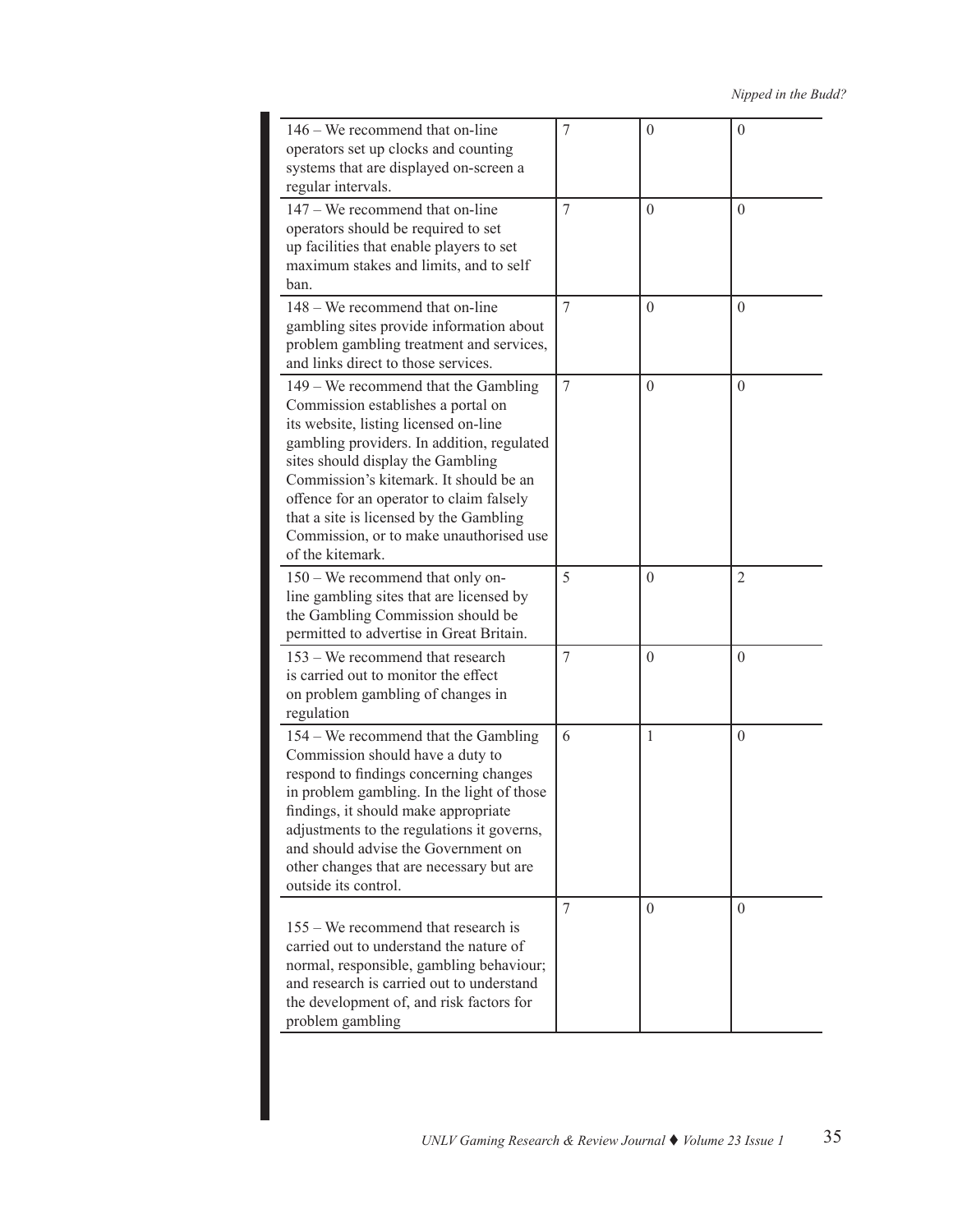| 146 – We recommend that on-line<br>operators set up clocks and counting<br>systems that are displayed on-screen a<br>regular intervals.                                                                                                                                                                                                                                                                  | 7 | $\theta$ | $\mathbf{0}$   |
|----------------------------------------------------------------------------------------------------------------------------------------------------------------------------------------------------------------------------------------------------------------------------------------------------------------------------------------------------------------------------------------------------------|---|----------|----------------|
| $147 -$ We recommend that on-line<br>operators should be required to set<br>up facilities that enable players to set<br>maximum stakes and limits, and to self<br>ban.                                                                                                                                                                                                                                   | 7 | $\theta$ | $\theta$       |
| $148 -$ We recommend that on-line<br>gambling sites provide information about<br>problem gambling treatment and services,<br>and links direct to those services.                                                                                                                                                                                                                                         | 7 | $\theta$ | $\theta$       |
| $149 -$ We recommend that the Gambling<br>Commission establishes a portal on<br>its website, listing licensed on-line<br>gambling providers. In addition, regulated<br>sites should display the Gambling<br>Commission's kitemark. It should be an<br>offence for an operator to claim falsely<br>that a site is licensed by the Gambling<br>Commission, or to make unauthorised use<br>of the kitemark. | 7 | $\theta$ | $\theta$       |
| 150 – We recommend that only on-<br>line gambling sites that are licensed by<br>the Gambling Commission should be<br>permitted to advertise in Great Britain.                                                                                                                                                                                                                                            | 5 | $\theta$ | $\overline{2}$ |
| 153 – We recommend that research<br>is carried out to monitor the effect<br>on problem gambling of changes in<br>regulation                                                                                                                                                                                                                                                                              | 7 | $\theta$ | $\theta$       |
| 154 – We recommend that the Gambling<br>Commission should have a duty to<br>respond to findings concerning changes<br>in problem gambling. In the light of those<br>findings, it should make appropriate<br>adjustments to the regulations it governs,<br>and should advise the Government on<br>other changes that are necessary but are<br>outside its control.                                        | 6 | 1        | $\theta$       |
| $155 -$ We recommend that research is<br>carried out to understand the nature of<br>normal, responsible, gambling behaviour;<br>and research is carried out to understand<br>the development of, and risk factors for<br>problem gambling                                                                                                                                                                | 7 | $\theta$ | $\theta$       |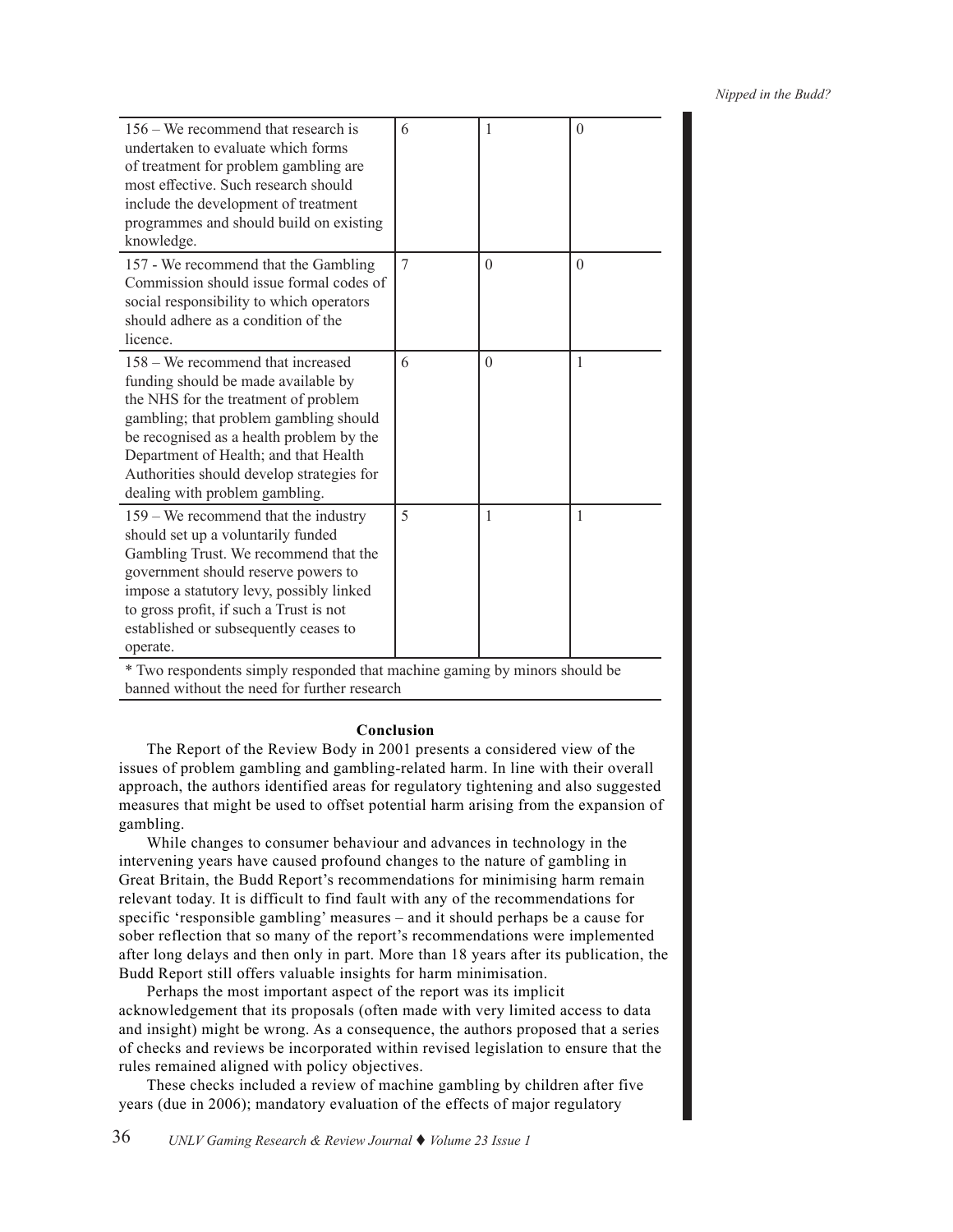| $156 -$ We recommend that research is<br>undertaken to evaluate which forms<br>of treatment for problem gambling are<br>most effective. Such research should<br>include the development of treatment<br>programmes and should build on existing<br>knowledge.                                                                  | 6 | 1        | $\theta$ |
|--------------------------------------------------------------------------------------------------------------------------------------------------------------------------------------------------------------------------------------------------------------------------------------------------------------------------------|---|----------|----------|
| 157 - We recommend that the Gambling<br>Commission should issue formal codes of<br>social responsibility to which operators<br>should adhere as a condition of the<br>licence.                                                                                                                                                 | 7 | $\theta$ | $\theta$ |
| 158 – We recommend that increased<br>funding should be made available by<br>the NHS for the treatment of problem<br>gambling; that problem gambling should<br>be recognised as a health problem by the<br>Department of Health; and that Health<br>Authorities should develop strategies for<br>dealing with problem gambling. | 6 | $\theta$ | 1        |
| $159 -$ We recommend that the industry<br>should set up a voluntarily funded<br>Gambling Trust. We recommend that the<br>government should reserve powers to<br>impose a statutory levy, possibly linked<br>to gross profit, if such a Trust is not<br>established or subsequently ceases to<br>operate.                       | 5 | 1        | 1        |

\* Two respondents simply responded that machine gaming by minors should be banned without the need for further research

#### **Conclusion**

The Report of the Review Body in 2001 presents a considered view of the issues of problem gambling and gambling-related harm. In line with their overall approach, the authors identified areas for regulatory tightening and also suggested measures that might be used to offset potential harm arising from the expansion of gambling.

While changes to consumer behaviour and advances in technology in the intervening years have caused profound changes to the nature of gambling in Great Britain, the Budd Report's recommendations for minimising harm remain relevant today. It is difficult to find fault with any of the recommendations for specific 'responsible gambling' measures – and it should perhaps be a cause for sober reflection that so many of the report's recommendations were implemented after long delays and then only in part. More than 18 years after its publication, the Budd Report still offers valuable insights for harm minimisation.

Perhaps the most important aspect of the report was its implicit acknowledgement that its proposals (often made with very limited access to data and insight) might be wrong. As a consequence, the authors proposed that a series of checks and reviews be incorporated within revised legislation to ensure that the rules remained aligned with policy objectives.

These checks included a review of machine gambling by children after five years (due in 2006); mandatory evaluation of the effects of major regulatory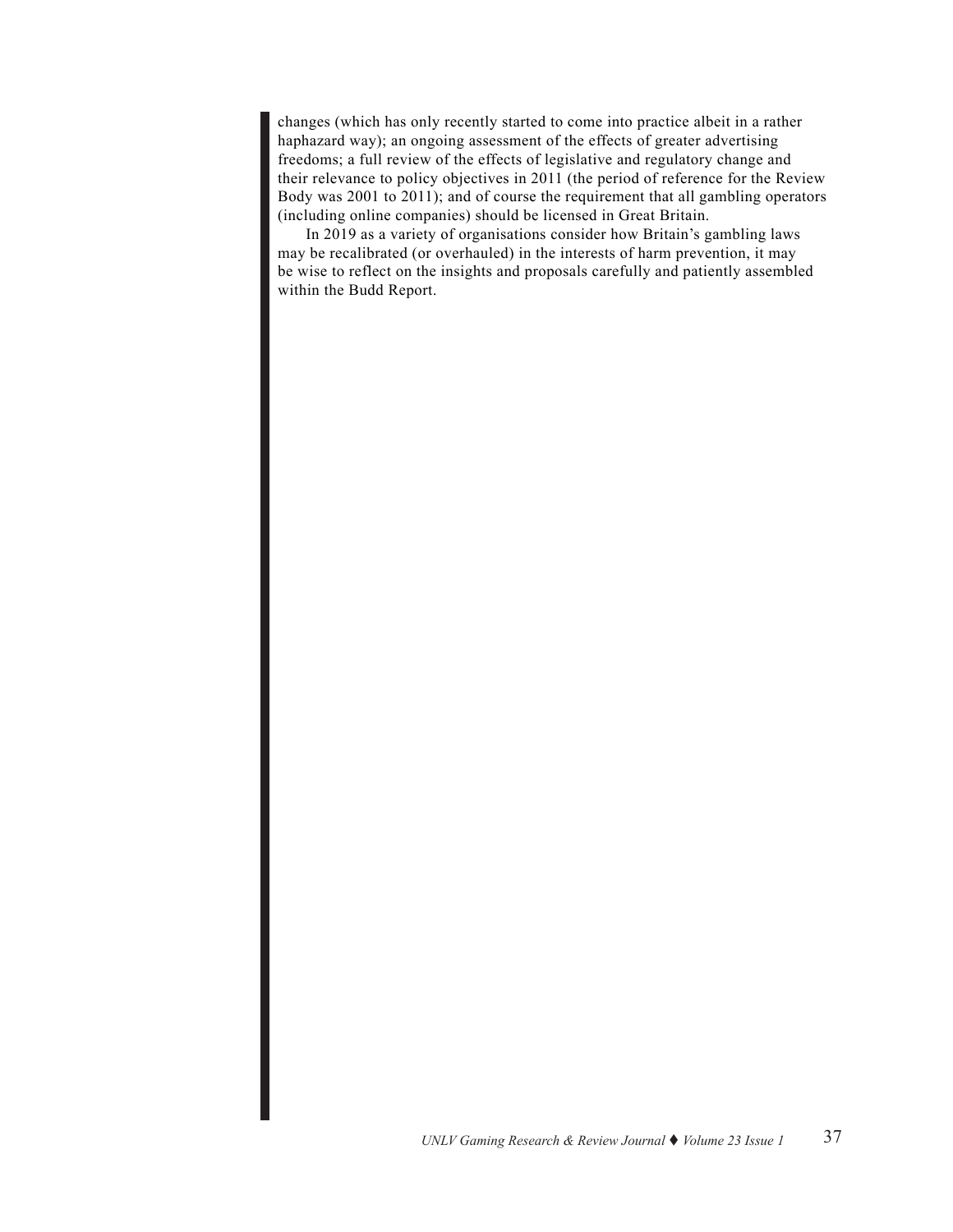changes (which has only recently started to come into practice albeit in a rather haphazard way); an ongoing assessment of the effects of greater advertising freedoms; a full review of the effects of legislative and regulatory change and their relevance to policy objectives in 2011 (the period of reference for the Review Body was 2001 to 2011); and of course the requirement that all gambling operators (including online companies) should be licensed in Great Britain.

In 2019 as a variety of organisations consider how Britain's gambling laws may be recalibrated (or overhauled) in the interests of harm prevention, it may be wise to reflect on the insights and proposals carefully and patiently assembled within the Budd Report.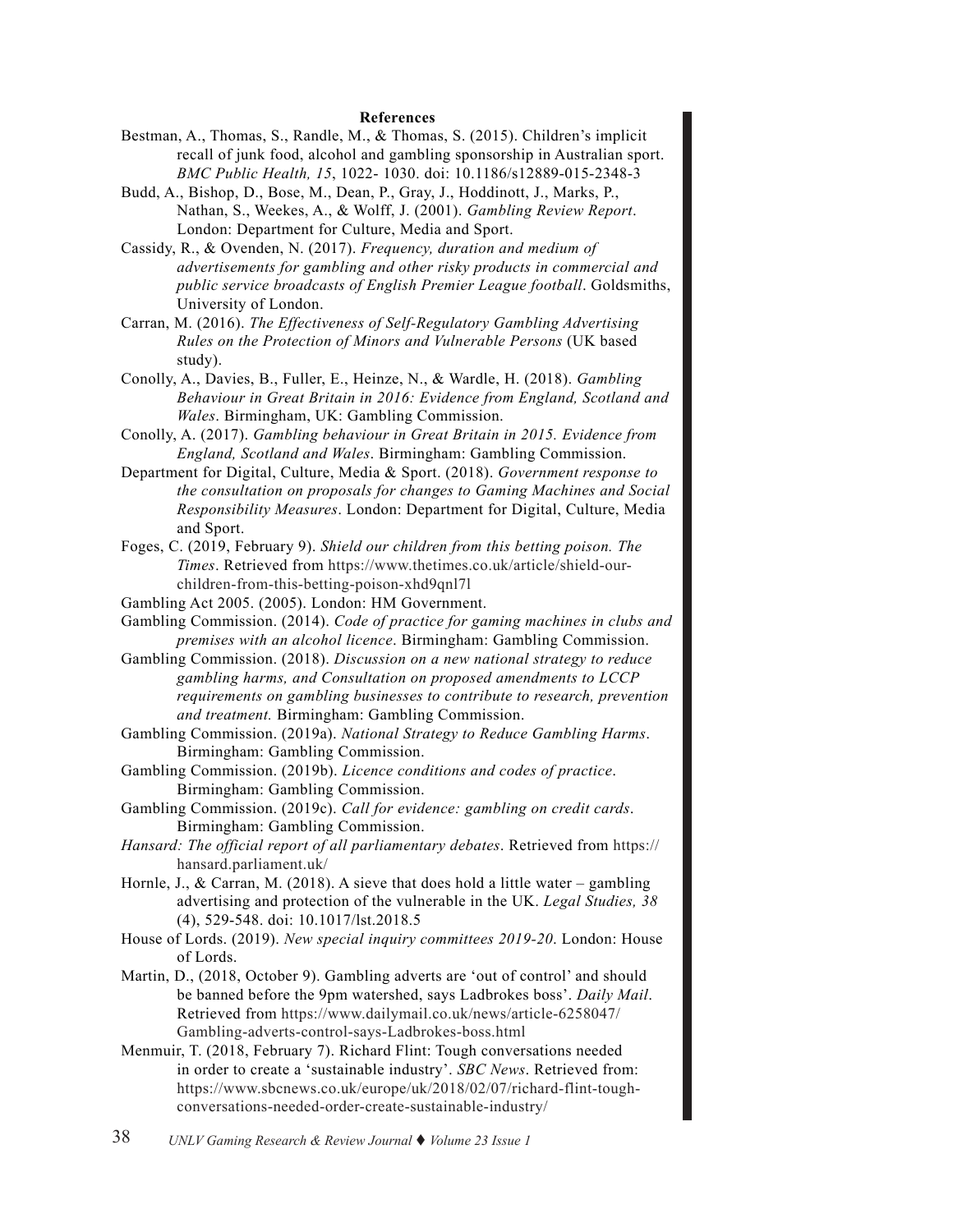#### **References**

- Bestman, A., Thomas, S., Randle, M., & Thomas, S. (2015). Children's implicit recall of junk food, alcohol and gambling sponsorship in Australian sport. *BMC Public Health, 15*, 1022- 1030. doi: 10.1186/s12889-015-2348-3
- Budd, A., Bishop, D., Bose, M., Dean, P., Gray, J., Hoddinott, J., Marks, P., Nathan, S., Weekes, A., & Wolff, J. (2001). *Gambling Review Report*. London: Department for Culture, Media and Sport.
- Cassidy, R., & Ovenden, N. (2017). *Frequency, duration and medium of advertisements for gambling and other risky products in commercial and public service broadcasts of English Premier League football*. Goldsmiths, University of London.
- Carran, M. (2016). *The Effectiveness of Self-Regulatory Gambling Advertising Rules on the Protection of Minors and Vulnerable Persons* (UK based study).
- Conolly, A., Davies, B., Fuller, E., Heinze, N., & Wardle, H. (2018). *Gambling Behaviour in Great Britain in 2016: Evidence from England, Scotland and Wales*. Birmingham, UK: Gambling Commission.
- Conolly, A. (2017). *Gambling behaviour in Great Britain in 2015. Evidence from England, Scotland and Wales*. Birmingham: Gambling Commission.
- Department for Digital, Culture, Media & Sport. (2018). *Government response to the consultation on proposals for changes to Gaming Machines and Social Responsibility Measures*. London: Department for Digital, Culture, Media and Sport.
- Foges, C. (2019, February 9). *Shield our children from this betting poison. The Times*. Retrieved from [https://www.thetimes.co.uk/article/shield-our]( https://www.thetimes.co.uk/article/shield-our-children-from-this-betting-poison-xhd9qnl7l)[children-from-this-betting-poison-xhd9qnl7l]( https://www.thetimes.co.uk/article/shield-our-children-from-this-betting-poison-xhd9qnl7l)
- Gambling Act 2005. (2005). London: HM Government.
- Gambling Commission. (2014). *Code of practice for gaming machines in clubs and premises with an alcohol licence*. Birmingham: Gambling Commission.
- Gambling Commission. (2018). *Discussion on a new national strategy to reduce gambling harms, and Consultation on proposed amendments to LCCP requirements on gambling businesses to contribute to research, prevention and treatment.* Birmingham: Gambling Commission.
- Gambling Commission. (2019a). *National Strategy to Reduce Gambling Harms*. Birmingham: Gambling Commission.
- Gambling Commission. (2019b). *Licence conditions and codes of practice*. Birmingham: Gambling Commission.
- Gambling Commission. (2019c). *Call for evidence: gambling on credit cards*. Birmingham: Gambling Commission.
- *Hansard: The official report of all parliamentary debates*. Retrieved from [https://]( https://hansard.parliament.uk/
) [hansard.parliament.uk/]( https://hansard.parliament.uk/
)
- Hornle, J., & Carran, M. (2018). A sieve that does hold a little water gambling advertising and protection of the vulnerable in the UK. *Legal Studies, 38*  (4), 529-548. doi: 10.1017/lst.2018.5
- House of Lords. (2019). *New special inquiry committees 2019-20*. London: House of Lords.
- Martin, D., (2018, October 9). Gambling adverts are 'out of control' and should be banned before the 9pm watershed, says Ladbrokes boss'. *Daily Mail*. Retrieved from [https://www.dailymail.co.uk/news/article-6258047/](https://www.dailymail.co.uk/news/article-6258047/Gambling-adverts-control-says-Ladbrokes-boss.html) [Gambling-adverts-control-says-Ladbrokes-boss.html](https://www.dailymail.co.uk/news/article-6258047/Gambling-adverts-control-says-Ladbrokes-boss.html)
- Menmuir, T. (2018, February 7). Richard Flint: Tough conversations needed in order to create a 'sustainable industry'. *SBC News*. Retrieved from: [https://www.sbcnews.co.uk/europe/uk/2018/02/07/richard-flint-tough](https://www.sbcnews.co.uk/europe/uk/2018/02/07/richard-flint-tough-conversations-needed-order-create-sustainable-industry/
)[conversations-needed-order-create-sustainable-industry/](https://www.sbcnews.co.uk/europe/uk/2018/02/07/richard-flint-tough-conversations-needed-order-create-sustainable-industry/
)